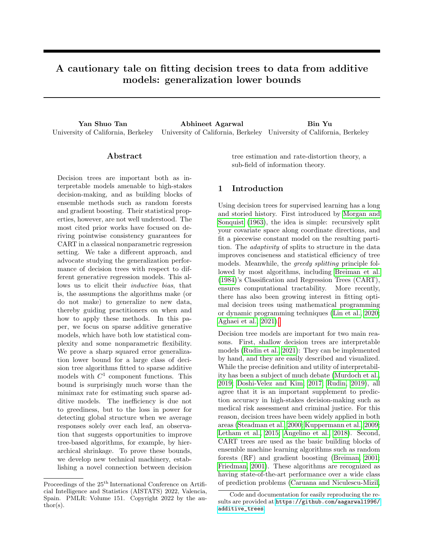# A cautionary tale on fitting decision trees to data from additive models: generalization lower bounds

Yan Shuo Tan Abhineet Agarwal Bin Yu University of California, Berkeley University of California, Berkeley University of California, Berkeley

### Abstract

Decision trees are important both as interpretable models amenable to high-stakes decision-making, and as building blocks of ensemble methods such as random forests and gradient boosting. Their statistical properties, however, are not well understood. The most cited prior works have focused on deriving pointwise consistency guarantees for CART in a classical nonparametric regression setting. We take a different approach, and advocate studying the generalization performance of decision trees with respect to different generative regression models. This allows us to elicit their inductive bias, that is, the assumptions the algorithms make (or do not make) to generalize to new data, thereby guiding practitioners on when and how to apply these methods. In this paper, we focus on sparse additive generative models, which have both low statistical complexity and some nonparametric flexibility. We prove a sharp squared error generalization lower bound for a large class of decision tree algorithms fitted to sparse additive models with  $C^1$  component functions. This bound is surprisingly much worse than the minimax rate for estimating such sparse additive models. The inefficiency is due not to greediness, but to the loss in power for detecting global structure when we average responses solely over each leaf, an observation that suggests opportunities to improve tree-based algorithms, for example, by hierarchical shrinkage. To prove these bounds, we develop new technical machinery, establishing a novel connection between decision

Proceedings of the 25<sup>th</sup> International Conference on Artificial Intelligence and Statistics (AISTATS) 2022, Valencia, Spain. PMLR: Volume 151. Copyright 2022 by the au- $\text{thor}(s)$ .

tree estimation and rate-distortion theory, a sub-field of information theory.

### 1 Introduction

Using decision trees for supervised learning has a long and storied history. First introduced by [Morgan and](#page-9-0) [Sonquist](#page-9-0) [\(1963\)](#page-9-0), the idea is simple: recursively split your covariate space along coordinate directions, and fit a piecewise constant model on the resulting partition. The adaptivity of splits to structure in the data improves conciseness and statistical efficiency of tree models. Meanwhile, the greedy splitting principle followed by most algorithms, including [Breiman et al.](#page-8-0) [\(1984\)](#page-8-0)'s Classification and Regression Trees (CART), ensures computational tractability. More recently, there has also been growing interest in fitting optimal decision trees using mathematical programming or dynamic programming techniques [\(Lin et al., 2020;](#page-9-1) [Aghaei et al., 2021\)](#page-8-1)[.](#page-0-0)

Decision tree models are important for two main reasons. First, shallow decision trees are interpretable models [\(Rudin et al., 2021\)](#page-9-2): They can be implemented by hand, and they are easily described and visualized. While the precise definition and utility of interpretability has been a subject of much debate [\(Murdoch et al.,](#page-9-3) [2019;](#page-9-3) [Doshi-Velez and Kim, 2017;](#page-8-2) [Rudin, 2019\)](#page-9-4), all agree that it is an important supplement to prediction accuracy in high-stakes decision-making such as medical risk assessment and criminal justice. For this reason, decision trees have been widely applied in both areas [\(Steadman et al., 2000;](#page-9-5) [Kuppermann et al., 2009;](#page-9-6) [Letham et al., 2015;](#page-9-7) [Angelino et al., 2018\)](#page-8-3). Second, CART trees are used as the basic building blocks of ensemble machine learning algorithms such as random forests (RF) and gradient boosting [\(Breiman, 2001;](#page-8-4) [Friedman, 2001\)](#page-9-8). These algorithms are recognized as having state-of-the-art performance over a wide class of prediction problems [\(Caruana and Niculescu-Mizil,](#page-8-5)

<span id="page-0-0"></span>Code and documentation for easily reproducing the results are provided at [https://github.com/aagarwal1996/](https://github.com/aagarwal1996/additive_trees) [additive\\_trees](https://github.com/aagarwal1996/additive_trees).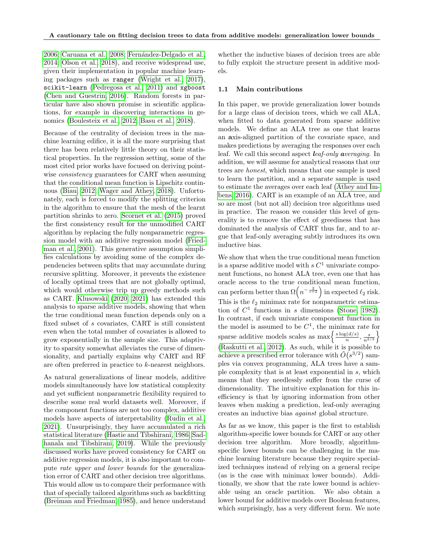[2006;](#page-8-5) [Caruana et al., 2008;](#page-8-6) Fernández-Delgado et al., [2014;](#page-8-7) [Olson et al., 2018\)](#page-9-9), and receive widespread use, given their implementation in popular machine learning packages such as ranger [\(Wright et al., 2017\)](#page-10-0), scikit-learn [\(Pedregosa et al., 2011\)](#page-9-10) and xgboost [\(Chen and Guestrin, 2016\)](#page-8-8). Random forests in particular have also shown promise in scientific applications, for example in discovering interactions in genomics [\(Boulesteix et al., 2012;](#page-8-9) [Basu et al., 2018\)](#page-8-10).

Because of the centrality of decision trees in the machine learning edifice, it is all the more surprising that there has been relatively little theory on their statistical properties. In the regression setting, some of the most cited prior works have focused on deriving pointwise *consistency* guarantees for CART when assuming that the conditional mean function is Lipschitz continuous [\(Biau, 2012;](#page-8-11) [Wager and Athey, 2018\)](#page-10-1). Unfortunately, each is forced to modify the splitting criterion in the algorithm to ensure that the mesh of the learnt partition shrinks to zero. [Scornet et al.](#page-9-11) [\(2015\)](#page-9-11) proved the first consistency result for the unmodified CART algorithm by replacing the fully nonparametric regression model with an additive regression model [\(Fried](#page-8-12)[man et al., 2001\)](#page-8-12). This generative assumption simplifies calculations by avoiding some of the complex dependencies between splits that may accumulate during recursive splitting. Moreover, it prevents the existence of locally optimal trees that are not globally optimal, which would otherwise trip up greedy methods such as CART. [Klusowski](#page-9-12) [\(2020,](#page-9-12) [2021\)](#page-9-13) has extended this analysis to sparse additive models, showing that when the true conditional mean function depends only on a fixed subset of s covariates, CART is still consistent even when the total number of covariates is allowed to grow exponentially in the sample size. This adaptivity to sparsity somewhat alleviates the curse of dimensionality, and partially explains why CART and RF are often preferred in practice to k-nearest neighbors.

As natural generalizations of linear models, additive models simultaneously have low statistical complexity and yet sufficient nonparametric flexibility required to describe some real world datasets well. Moreover, if the component functions are not too complex, additive models have aspects of interpretability [\(Rudin et al.,](#page-9-2) [2021\)](#page-9-2). Unsurprisingly, they have accumulated a rich statistical literature [\(Hastie and Tibshirani, 1986;](#page-9-14) [Sad](#page-9-15)[hanala and Tibshirani, 2019\)](#page-9-15). While the previously discussed works have proved consistency for CART on additive regression models, it is also important to compute rate upper and lower bounds for the generalization error of CART and other decision tree algorithms. This would allow us to compare their performance with that of specially tailored algorithms such as backfitting [\(Breiman and Friedman, 1985\)](#page-8-13), and hence understand whether the inductive biases of decision trees are able to fully exploit the structure present in additive models.

#### 1.1 Main contributions

In this paper, we provide generalization lower bounds for a large class of decision trees, which we call ALA, when fitted to data generated from sparse additive models. We define an ALA tree as one that learns an axis-aligned partition of the covariate space, and makes predictions by averaging the responses over each leaf. We call this second aspect leaf-only averaging. In addition, we will assume for analytical reasons that our trees are honest, which means that one sample is used to learn the partition, and a separate sample is used to estimate the averages over each leaf [\(Athey and Im](#page-8-14)[bens, 2016\)](#page-8-14). CART is an example of an ALA tree, and so are most (but not all) decision tree algorithms used in practice. The reason we consider this level of generality is to remove the effect of greediness that has dominated the analysis of CART thus far, and to argue that leaf-only averaging subtly introduces its own inductive bias.

We show that when the true conditional mean function is a sparse additive model with  $s C<sup>1</sup>$  univariate component functions, no honest ALA tree, even one that has oracle access to the true conditional mean function, can perform better than  $\Omega\left(n^{-\frac{2}{s+2}}\right)$  in expected  $\ell_2$  risk. This is the  $\ell_2$  minimax rate for nonparametric estimation of  $C<sup>1</sup>$  functions in s dimensions [\(Stone, 1982\)](#page-10-2). In contrast, if each univariate component function in the model is assumed to be  $C^1$ , the minimax rate for sparse additive models scales as  $\max\left\{\frac{s\log(d/s)}{n}\right\}$  $\frac{d(s)}{n}, \frac{s}{n^{2/3}}\}$ [\(Raskutti et al., 2012\)](#page-9-16). As such, while it is possible to achieve a prescribed error tolerance with  $\tilde{O}(s^{3/2})$  samples via convex programming, ALA trees have a sample complexity that is at least exponential in s, which means that they needlessly suffer from the curse of dimensionality. The intuitive explanation for this inefficiency is that by ignoring information from other leaves when making a prediction, leaf-only averaging creates an inductive bias against global structure.

As far as we know, this paper is the first to establish algorithm-specific lower bounds for CART or any other decision tree algorithm. More broadly, algorithmspecific lower bounds can be challenging in the machine learning literature because they require specialized techniques instead of relying on a general recipe (as is the case with minimax lower bounds). Additionally, we show that the rate lower bound is achievable using an oracle partition. We also obtain a lower bound for additive models over Boolean features, which surprisingly, has a very different form. We note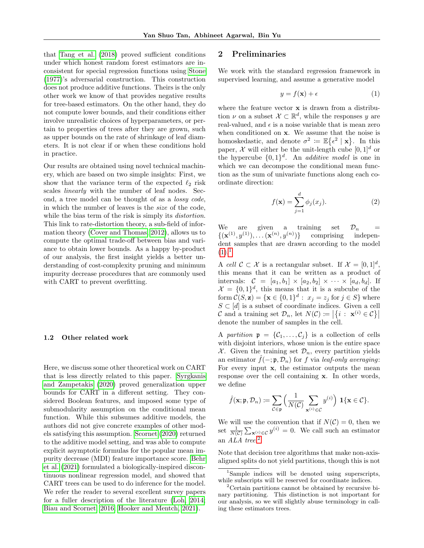that [Tang et al.](#page-10-3) [\(2018\)](#page-10-3) proved sufficient conditions under which honest random forest estimators are inconsistent for special regression functions using [Stone](#page-9-17) [\(1977\)](#page-9-17)'s adversarial construction. This construction does not produce additive functions. Theirs is the only other work we know of that provides negative results for tree-based estimators. On the other hand, they do not compute lower bounds, and their conditions either involve unrealistic choices of hyperparameters, or pertain to properties of trees after they are grown, such as upper bounds on the rate of shrinkage of leaf diameters. It is not clear if or when these conditions hold in practice.

Our results are obtained using novel technical machinery, which are based on two simple insights: First, we show that the variance term of the expected  $\ell_2$  risk scales linearly with the number of leaf nodes. Second, a tree model can be thought of as a lossy code, in which the number of leaves is the size of the code, while the bias term of the risk is simply its *distortion*. This link to rate-distortion theory, a sub-field of information theory [\(Cover and Thomas, 2012\)](#page-8-15), allows us to compute the optimal trade-off between bias and variance to obtain lower bounds. As a happy by-product of our analysis, the first insight yields a better understanding of cost-complexity pruning and minimum impurity decrease procedures that are commonly used with CART to prevent overfitting.

#### 1.2 Other related work

Here, we discuss some other theoretical work on CART that is less directly related to this paper. [Syrgkanis](#page-10-4) [and Zampetakis](#page-10-4) [\(2020\)](#page-10-4) proved generalization upper bounds for CART in a different setting. They considered Boolean features, and imposed some type of submodularity assumption on the conditional mean function. While this subsumes additive models, the authors did not give concrete examples of other models satisfying this assumption. [Scornet](#page-9-18) [\(2020\)](#page-9-18) returned to the additive model setting, and was able to compute explicit asymptotic formulas for the popular mean impurity decrease (MDI) feature importance score. [Behr](#page-8-16) [et al.](#page-8-16) [\(2021\)](#page-8-16) formulated a biologically-inspired discontinuous nonlinear regression model, and showed that CART trees can be used to do inference for the model. We refer the reader to several excellent survey papers for a fuller description of the literature [\(Loh, 2014;](#page-9-19) [Biau and Scornet, 2016;](#page-8-17) [Hooker and Mentch, 2021\)](#page-9-20).

#### 2 Preliminaries

We work with the standard regression framework in supervised learning, and assume a generative model

<span id="page-2-0"></span>
$$
y = f(\mathbf{x}) + \epsilon \tag{1}
$$

where the feature vector  $x$  is drawn from a distribution  $\nu$  on a subset  $\mathcal{X} \subset \mathbb{R}^d$ , while the responses y are real-valued, and  $\epsilon$  is a noise variable that is mean zero when conditioned on x. We assume that the noise is homoskedastic, and denote  $\sigma^2 := \mathbb{E}\{\epsilon^2 \mid \mathbf{x}\}.$  In this paper,  $\mathcal X$  will either be the unit-length cube  $[0, 1]^d$  or the hypercube  $\{0,1\}^d$ . An *additive model* is one in which we can decompose the conditional mean function as the sum of univariate functions along each coordinate direction:

<span id="page-2-3"></span>
$$
f(\mathbf{x}) = \sum_{j=1}^{d} \phi_j(x_j).
$$
 (2)

We are given a training set  $\mathcal{D}_n$  =  $\{(\mathbf{x}^{(1)},y^{(1)}), \dots (\mathbf{x}^{(n)},y^{(n)}\}$ )} comprising independent samples that are drawn according to the model  $(1).<sup>1</sup>$  $(1).<sup>1</sup>$  $(1).<sup>1</sup>$  $(1).<sup>1</sup>$ 

A cell  $\mathcal{C} \subset \mathcal{X}$  is a rectangular subset. If  $\mathcal{X} = [0,1]^d$ , this means that it can be written as a product of intervals:  $C = [a_1, b_1] \times [a_2, b_2] \times \cdots \times [a_d, b_d]$ . If  $\mathcal{X} = \{0,1\}^d$ , this means that it is a subcube of the form  $\mathcal{C}(S, \mathbf{z}) = {\mathbf{x} \in \{0, 1\}^d : x_j = z_j \text{ for } j \in S}$  where  $S \subset [d]$  is a subset of coordinate indices. Given a cell C and a training set  $\mathcal{D}_n$ , let  $N(C) = |\{i : \mathbf{x}^{(i)} \in C\}|$ denote the number of samples in the cell.

A partition  $\mathfrak{p} = \{C_1, \ldots, C_j\}$  is a collection of cells with disjoint interiors, whose union is the entire space  $X$ . Given the training set  $\mathcal{D}_n$ , every partition yields an estimator  $\hat{f}(-; \mathfrak{p}, \mathcal{D}_n)$  for f via leaf-only averaging: For every input x, the estimator outputs the mean response over the cell containing x. In other words, we define

$$
\widehat{f}(\mathbf{x}; \mathfrak{p}, \mathcal{D}_n) \coloneqq \sum_{\mathcal{C} \in \mathfrak{p}} \Big( \frac{1}{N(\mathcal{C})} \sum_{\mathbf{x}^{(i)} \in \mathcal{C}} y^{(i)} \Big) \ \mathbf{1}\{\mathbf{x} \in \mathcal{C}\}.
$$

We will use the convention that if  $N(\mathcal{C}) = 0$ , then we set  $\frac{1}{N(\mathcal{C})}\sum_{\mathbf{x}^{(i)}\in\mathcal{C}}y^{(i)}=0$ . We call such an estimator an ALA tree. [2](#page-2-2)

Note that decision tree algorithms that make non-axisaligned splits do not yield partitions, though this is not

<span id="page-2-1"></span><sup>1</sup>Sample indices will be denoted using superscripts, while subscripts will be reserved for coordinate indices.

<span id="page-2-2"></span><sup>2</sup>Certain partitions cannot be obtained by recursive binary partitioning. This distinction is not important for our analysis, so we will slightly abuse terminology in calling these estimators trees.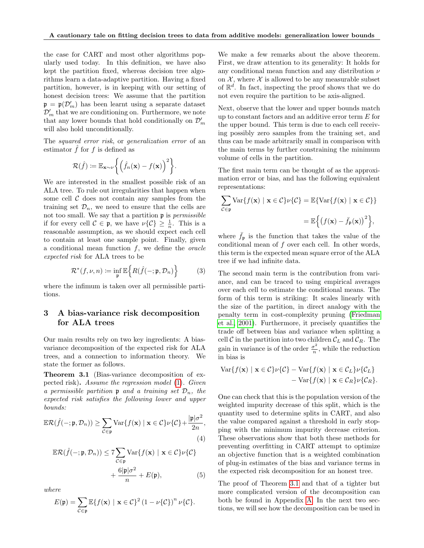the case for CART and most other algorithms popularly used today. In this definition, we have also kept the partition fixed, whereas decision tree algorithms learn a data-adaptive partition. Having a fixed partition, however, is in keeping with our setting of honest decision trees: We assume that the partition  $\mathfrak{p} = \mathfrak{p}(\mathcal{D}'_m)$  has been learnt using a separate dataset  $\mathcal{D}'_m$  that we are conditioning on. Furthermore, we note that any lower bounds that hold conditionally on  $\mathcal{D}'_m$ will also hold unconditionally.

The squared error risk, or generalization error of an estimator  $f$  for  $f$  is defined as

$$
\mathcal{R}(\hat{f}) \coloneqq \mathbb{E}_{\mathbf{x} \sim \nu} \left\{ \left( \hat{f}_n(\mathbf{x}) - f(\mathbf{x}) \right)^2 \right\}.
$$

We are interested in the smallest possible risk of an ALA tree. To rule out irregularities that happen when some cell  $\mathcal C$  does not contain any samples from the training set  $\mathcal{D}_n$ , we need to ensure that the cells are not too small. We say that a partition  $\mathfrak p$  is *permissible* if for every cell  $C \in \mathfrak{p}$ , we have  $\nu\{\mathcal{C}\} \geq \frac{1}{n}$ . This is a reasonable assumption, as we should expect each cell to contain at least one sample point. Finally, given a conditional mean function  $f$ , we define the *oracle* expected risk for ALA trees to be

$$
\mathcal{R}^*(f,\nu,n) \coloneqq \inf_{\mathfrak{p}} \mathbb{E}\Big\{ R(\hat{f}(-;\mathfrak{p},\mathcal{D}_n) \Big\} \tag{3}
$$

where the infimum is taken over all permissible partitions.

## 3 A bias-variance risk decomposition for ALA trees

Our main results rely on two key ingredients: A biasvariance decomposition of the expected risk for ALA trees, and a connection to information theory. We state the former as follows.

<span id="page-3-0"></span>Theorem 3.1 (Bias-variance decomposition of expected risk). Assume the regression model [\(1\)](#page-2-0). Given a permissible partition  $p$  and a training set  $\mathcal{D}_n$ , the expected risk satisfies the following lower and upper bounds:

<span id="page-3-1"></span>
$$
\mathbb{E}\mathcal{R}(\hat{f}(-;\mathfrak{p},\mathcal{D}_n)) \ge \sum_{\mathcal{C}\in\mathfrak{p}} \text{Var}\{f(\mathbf{x}) \mid \mathbf{x}\in\mathcal{C}\}\nu\{\mathcal{C}\} + \frac{|\mathfrak{p}|\sigma^2}{2n},\tag{4}
$$

$$
\mathbb{E}\mathcal{R}(\hat{f}(-;\mathfrak{p},\mathcal{D}_n)) \le 7 \sum_{\mathcal{C}\in\mathfrak{p}} \text{Var}\{f(\mathbf{x}) \mid \mathbf{x} \in \mathcal{C}\} \nu\{\mathcal{C}\}
$$

$$
+ \frac{6|\mathfrak{p}|\sigma^2}{n} + E(\mathfrak{p}), \tag{5}
$$

where

$$
E(\mathfrak{p}) = \sum_{\mathcal{C} \in \mathfrak{p}} \mathbb{E} \{ f(\mathbf{x}) \mid \mathbf{x} \in \mathcal{C} \}^2 (1 - \nu \{\mathcal{C}\})^n \nu \{\mathcal{C}\}.
$$

We make a few remarks about the above theorem. First, we draw attention to its generality: It holds for any conditional mean function and any distribution  $\nu$ on  $X$ , where  $X$  is allowed to be any measurable subset of  $\mathbb{R}^d$ . In fact, inspecting the proof shows that we do not even require the partition to be axis-aligned.

Next, observe that the lower and upper bounds match up to constant factors and an additive error term E for the upper bound. This term is due to each cell receiving possibly zero samples from the training set, and thus can be made arbitrarily small in comparison with the main terms by further constraining the minimum volume of cells in the partition.

The first main term can be thought of as the approximation error or bias, and has the following equivalent representations:

$$
\sum_{\mathcal{C}\in\mathfrak{p}} \text{Var}\{f(\mathbf{x}) \mid \mathbf{x}\in\mathcal{C}\}\nu\{\mathcal{C}\} = \mathbb{E}\{\text{Var}\{f(\mathbf{x}) \mid \mathbf{x}\in\mathcal{C}\}\}
$$

$$
= \mathbb{E}\Big\{\big(f(\mathbf{x}) - \bar{f}_{\mathfrak{p}}(\mathbf{x})\big)^2\Big\},
$$

where  $\bar{f}_{\rm p}$  is the function that takes the value of the conditional mean of f over each cell. In other words, this term is the expected mean square error of the ALA tree if we had infinite data.

The second main term is the contribution from variance, and can be traced to using empirical averages over each cell to estimate the conditional means. The form of this term is striking: It scales linearly with the size of the partition, in direct analogy with the penalty term in cost-complexity pruning [\(Friedman](#page-8-12) [et al., 2001\)](#page-8-12). Furthermore, it precisely quantifies the trade off between bias and variance when splitting a cell  $\mathcal C$  in the partition into two children  $\mathcal C_L$  and  $\mathcal C_R$ . The gain in variance is of the order  $\frac{\sigma^2}{n}$  $\frac{\sigma^2}{n}$ , while the reduction in bias is

$$
\operatorname{Var}\{f(\mathbf{x}) \mid \mathbf{x} \in C\} \nu\{C\} - \operatorname{Var}\{f(\mathbf{x}) \mid \mathbf{x} \in C_L\} \nu\{C_L\} - \operatorname{Var}\{f(\mathbf{x}) \mid \mathbf{x} \in C_R\} \nu\{C_R\}.
$$

One can check that this is the population version of the weighted impurity decrease of this split, which is the quantity used to determine splits in CART, and also the value compared against a threshold in early stopping with the minimum impurity decrease criterion. These observations show that both these methods for preventing overfitting in CART attempt to optimize an objective function that is a weighted combination of plug-in estimates of the bias and variance terms in the expected risk decomposition for an honest tree.

<span id="page-3-2"></span>The proof of Theorem [3.1](#page-3-0) and that of a tighter but more complicated version of the decomposition can both be found in Appendix [A.](#page-11-0) In the next two sections, we will see how the decomposition can be used in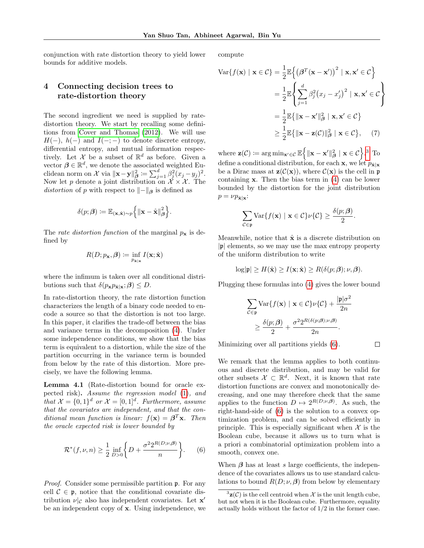conjunction with rate distortion theory to yield lower bounds for additive models.

### 4 Connecting decision trees to rate-distortion theory

The second ingredient we need is supplied by ratedistortion theory. We start by recalling some definitions from [Cover and Thomas](#page-8-15) [\(2012\)](#page-8-15). We will use  $H(-)$ ,  $h(-)$  and  $I(-; -)$  to denote discrete entropy, differential entropy, and mutual information respectively. Let X be a subset of  $\mathbb{R}^d$  as before. Given a vector  $\beta \in \mathbb{R}^d$ , we denote the associated weighted Euclidean norm on X via  $\|\mathbf{x}-\mathbf{y}\|_{\boldsymbol{\beta}}^2 \coloneqq \sum_{j=1}^d \beta_j^2 (x_j - y_j)^2$ . Now let p denote a joint distribution on  $\mathcal{X} \times \mathcal{X}$ . The distortion of p with respect to  $\Vert - \Vert_{\beta}$  is defined as

$$
\delta(p; \beta) := \mathbb{E}_{(\mathbf{x}, \hat{\mathbf{x}}) \sim p} \left\{ \|\mathbf{x} - \hat{\mathbf{x}}\|_{\beta}^2 \right\}.
$$

The *rate distortion function* of the marginal  $p_x$  is defined by

$$
R(D; p_{\mathbf{x}}, \boldsymbol{\beta}) \coloneqq \inf_{p_{\hat{\mathbf{x}}|\mathbf{x}}} I(\mathbf{x}; \hat{\mathbf{x}})
$$

where the infimum is taken over all conditional distributions such that  $\delta(p_{\mathbf{x}}p_{\hat{\mathbf{x}}|\mathbf{x}};\boldsymbol{\beta}) \leq D$ .

In rate-distortion theory, the rate distortion function characterizes the length of a binary code needed to encode a source so that the distortion is not too large. In this paper, it clarifies the trade-off between the bias and variance terms in the decomposition [\(4\)](#page-3-1). Under some independence conditions, we show that the bias term is equivalent to a distortion, while the size of the partition occurring in the variance term is bounded from below by the rate of this distortion. More precisely, we have the following lemma.

<span id="page-4-2"></span>Lemma 4.1 (Rate-distortion bound for oracle expected risk). Assume the regression model [\(1\)](#page-2-0), and that  $\mathcal{X} = \{0,1\}^d$  or  $\mathcal{X} = [0,1]^d$ . Furthermore, assume that the covariates are independent, and that the conditional mean function is linear:  $f(\mathbf{x}) = \boldsymbol{\beta}^T \mathbf{x}$ . Then the oracle expected risk is lower bounded by

<span id="page-4-1"></span>
$$
\mathcal{R}^*(f,\nu,n) \ge \frac{1}{2} \inf_{D>0} \left\{ D + \frac{\sigma^2 2^{R(D;\nu,\beta)}}{n} \right\}.
$$
 (6)

Proof. Consider some permissible partition p. For any cell  $C \in \mathfrak{p}$ , notice that the conditional covariate distribution  $\nu|_{\mathcal{C}}$  also has independent covariates. Let  $\mathbf{x}'$ be an independent copy of x. Using independence, we compute

$$
\operatorname{Var}\{f(\mathbf{x}) \mid \mathbf{x} \in \mathcal{C}\} = \frac{1}{2} \mathbb{E} \left\{ \left(\beta^T (\mathbf{x} - \mathbf{x}')\right)^2 \mid \mathbf{x}, \mathbf{x}' \in \mathcal{C} \right\}
$$

$$
= \frac{1}{2} \mathbb{E} \left\{ \sum_{j=1}^d \beta_j^2 (x_j - x'_j)^2 \mid \mathbf{x}, \mathbf{x}' \in \mathcal{C} \right\}
$$

$$
= \frac{1}{2} \mathbb{E} \{ \|\mathbf{x} - \mathbf{x}'\|_{\beta}^2 \mid \mathbf{x}, \mathbf{x}' \in \mathcal{C} \}
$$

$$
\geq \frac{1}{2} \mathbb{E} \{ \|\mathbf{x} - \mathbf{z}(\mathcal{C})\|_{\beta}^2 \mid \mathbf{x} \in \mathcal{C} \}, \qquad (7)
$$

where  $\mathbf{z}(\mathcal{C}) \coloneqq \arg \min_{\mathbf{x}' \in \mathcal{C}} \mathbb{E} \Big\{ \|\mathbf{x} - \mathbf{x}' \|_{\boldsymbol{\beta}}^2 \mid \mathbf{x} \in \mathcal{C} \Big\}$ .<sup>[3](#page-4-0)</sup> To define a conditional distribution, for each **x**, we let  $p_{\hat{\mathbf{x}}|\mathbf{x}}$ be a Dirac mass at  $\mathbf{z}(\mathcal{C}(\mathbf{x}))$ , where  $\mathcal{C}(\mathbf{x})$  is the cell in p containing  $x$ . Then the bias term in  $(4)$  can be lower bounded by the distortion for the joint distribution  $p = \nu p_{\hat{\mathbf{x}} | \mathbf{x}}$ :

<span id="page-4-3"></span>
$$
\sum_{\mathcal{C}\in\mathfrak{p}} \mathrm{Var}\{f(\mathbf{x}) \mid \mathbf{x}\in\mathcal{C}\}\nu\{\mathcal{C}\} \geq \frac{\delta(p;\boldsymbol{\beta})}{2}.
$$

Meanwhile, notice that  $\hat{\mathbf{x}}$  is a discrete distribution on  $|\mathfrak{p}|$  elements, so we may use the max entropy property of the uniform distribution to write

$$
\log|\mathfrak{p}| \ge H(\hat{\mathbf{x}}) \ge I(\mathbf{x}; \hat{\mathbf{x}}) \ge R(\delta(p; \beta); \nu, \beta).
$$

Plugging these formulas into [\(4\)](#page-3-1) gives the lower bound

$$
\sum_{\mathcal{C}\in\mathfrak{p}} \text{Var}\{f(\mathbf{x}) \mid \mathbf{x}\in\mathcal{C}\}\nu\{\mathcal{C}\} + \frac{|\mathfrak{p}|\sigma^2}{2n}
$$

$$
\geq \frac{\delta(p;\boldsymbol{\beta})}{2} + \frac{\sigma^2 2^{R(\delta(p;\boldsymbol{\beta});\nu,\boldsymbol{\beta})}}{2n}.
$$

Minimizing over all partitions yields [\(6\)](#page-4-1).

 $\Box$ 

We remark that the lemma applies to both continuous and discrete distribution, and may be valid for other subsets  $\mathcal{X} \subset \mathbb{R}^d$ . Next, it is known that rate distortion functions are convex and monotonically decreasing, and one may therefore check that the same applies to the function  $D \mapsto 2^{R(D;\nu,\beta)}$ . As such, the right-hand-side of [\(6\)](#page-4-1) is the solution to a convex optimization problem, and can be solved efficiently in principle. This is especially significant when  $\mathcal X$  is the Boolean cube, because it allows us to turn what is a priori a combinatorial optimization problem into a smooth, convex one.

When  $\beta$  has at least s large coefficients, the independence of the covariates allows us to use standard calculations to bound  $R(D; \nu, \beta)$  from below by elementary

<span id="page-4-0"></span> $3\mathbf{z}(\mathcal{C})$  is the cell centroid when X is the unit length cube, but not when it is the Boolean cube. Furthermore, equality actually holds without the factor of  $1/2$  in the former case.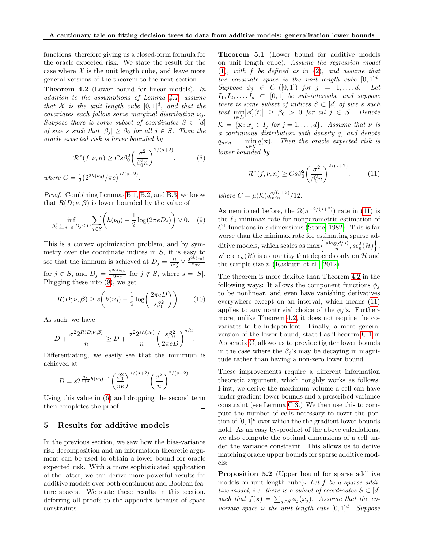functions, therefore giving us a closed-form formula for the oracle expected risk. We state the result for the case where  $\mathcal X$  is the unit length cube, and leave more general versions of the theorem to the next section.

<span id="page-5-2"></span>Theorem 4.2 (Lower bound for linear models). In addition to the assumptions of Lemma [4.1,](#page-4-2) assume that X is the unit length cube  $[0,1]^d$ , and that the covariates each follow some marginal distribution  $\nu_0$ . Suppose there is some subset of coordinates  $S \subset [d]$ of size s such that  $|\beta_i| \geq \beta_0$  for all  $j \in S$ . Then the oracle expected risk is lower bounded by

<span id="page-5-5"></span>
$$
\mathcal{R}^*(f,\nu,n) \geq Cs\beta_0^2 \left(\frac{\sigma^2}{\beta_0^2 n}\right)^{2/(s+2)},\tag{8}
$$

where  $C = \frac{1}{2} (2^{2h(\nu_0)} / \pi e)^{s/(s+2)}$ .

Proof. Combining Lemmas [B.1,](#page-13-0) [B.2,](#page-14-0) and [B.3,](#page-14-1) we know that  $R(D; \nu, \beta)$  is lower bounded by the value of

<span id="page-5-0"></span>
$$
\inf_{\beta_0^2 \sum_{j \in S} D_j \le D} \sum_{j \in S} \left( h(\nu_0) - \frac{1}{2} \log(2 \pi e D_j) \right) \vee 0. \quad (9)
$$

This is a convex optimization problem, and by symmetry over the coordinate indices in  $S$ , it is easy to see that the infimum is achieved at  $D_j = \frac{D}{s\beta_0^2} \vee \frac{2^{2h(\nu_0)}}{2\pi e}$  $2\pi e$ for  $j \in S$ , and  $D_j = \frac{2^{2h(\nu_0)}}{2\pi e}$  $\frac{m(v_0)}{2\pi e}$  for  $j \notin S$ , where  $s = |S|$ . Plugging these into  $(9)$ , we get

<span id="page-5-4"></span>
$$
R(D; \nu, \beta) \ge s \left( h(\nu_0) - \frac{1}{2} \log \left( \frac{2\pi e D}{s \beta_0^2} \right) \right). \tag{10}
$$

As such, we have

$$
D + \frac{\sigma^2 2^{R(D;\nu,\beta)}}{n} \ge D + \frac{\sigma^2 2^{sh(\nu_0)}}{n} \left(\frac{s\beta_0^2}{2\pi e D}\right)^{s/2}.
$$

Differentiating, we easily see that the minimum is achieved at

$$
D = s2^{\frac{2s}{s+2}h(\nu_0)-1} \left(\frac{\beta_0^2}{\pi e}\right)^{s/(s+2)} \left(\frac{\sigma^2}{n}\right)^{2/(s+2)}.
$$

Using this value in [\(6\)](#page-4-1) and dropping the second term then completes the proof.  $\Box$ 

#### <span id="page-5-7"></span>5 Results for additive models

In the previous section, we saw how the bias-variance risk decomposition and an information theoretic argument can be used to obtain a lower bound for oracle expected risk. With a more sophisticated application of the latter, we can derive more powerful results for additive models over both continuous and Boolean feature spaces. We state these results in this section, deferring all proofs to the appendix because of space constraints.

<span id="page-5-3"></span>Theorem 5.1 (Lower bound for additive models on unit length cube). Assume the regression model  $(1)$ , with f be defined as in  $(2)$ , and assume that the covariate space is the unit length cube  $[0,1]^d$ . Suppose  $\phi_j \in C^1([0,1])$  for  $j = 1, \ldots, d$ . Let  $I_1, I_2, \ldots, I_d \subset [0, 1]$  be sub-intervals, and suppose there is some subset of indices  $S \subset [d]$  of size s such  $\text{that } \min_{t \in I_j} |\phi_j'(t)| \geq \beta_0 > 0 \text{ for all } j \in S.$  Denote  $\mathcal{K} = {\mathbf{x} \colon x_j \in I_j \text{ for } j = 1, \dots, d}.$  Assume that  $\nu$  is a continuous distribution with density q, and denote  $q_{min} = \min_{\mathbf{x} \in \mathcal{K}} q(\mathbf{x})$ . Then the oracle expected risk is lower bounded by

<span id="page-5-1"></span>
$$
\mathcal{R}^*(f,\nu,n) \geq Cs\beta_0^2 \left(\frac{\sigma^2}{\beta_0^2 n}\right)^{2/(s+2)},\tag{11}
$$

where  $C = \mu(\mathcal{K}) q_{min}^{s/(s+2)}/12$ .

As mentioned before, the  $\Omega(n^{-2/(s+2)})$  rate in [\(11\)](#page-5-1) is the  $\ell_2$  minimax rate for nonparametric estimation of  $C<sup>1</sup>$  functions in s dimensions [\(Stone, 1982\)](#page-10-2). This is far worse than the minimax rate for estimating sparse additive models, which scales as  $\max\left\{\frac{s\log(d/s)}{n}\right\}$  $\{\frac{s(d/s)}{n}, s\epsilon_n^2(\mathcal{H})\Big\},$ where  $\epsilon_n(\mathcal{H})$  is a quantity that depends only on H and the sample size  $n$  [\(Raskutti et al., 2012\)](#page-9-16).

The theorem is more flexible than Theorem [4.2](#page-5-2) in the following ways: It allows the component functions  $\phi_i$ to be nonlinear, and even have vanishing derivatives everywhere except on an interval, which means [\(11\)](#page-5-1) applies to any nontrivial choice of the  $\phi_i$ 's. Furthermore, unlike Theorem [4.2,](#page-5-2) it does not require the covariates to be independent. Finally, a more general version of the lower bound, stated as Theorem [C.1](#page-17-0) in Appendix [C,](#page-17-1) allows us to provide tighter lower bounds in the case where the  $\beta_j$ 's may be decaying in magnitude rather than having a non-zero lower bound.

These improvements require a different information theoretic argument, which roughly works as follows: First, we derive the maximum volume a cell can have under gradient lower bounds and a prescribed variance constraint (see Lemma [C.3.](#page-18-0)) We then use this to compute the number of cells necessary to cover the portion of  $[0, 1]^d$  over which the the gradient lower bounds hold. As an easy by-product of the above calculations, we also compute the optimal dimensions of a cell under the variance constraint. This allows us to derive matching oracle upper bounds for sparse additive models:

<span id="page-5-6"></span>Proposition 5.2 (Upper bound for sparse additive models on unit length cube). Let f be a sparse additive model, i.e. there is a subset of coordinates  $S \subset [d]$ such that  $f(\mathbf{x}) = \sum_{j \in S} \phi_j(x_j)$ . Assume that the covariate space is the unit length cube  $[0,1]^d$ . Suppose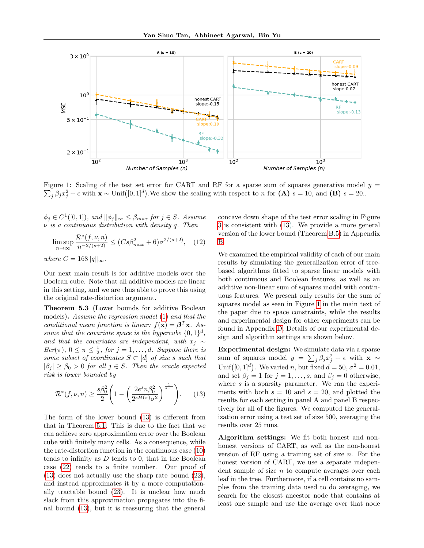

 $\sum_j \beta_j x_j^2 + \epsilon$  with  $\mathbf{x} \sim \text{Unif}([0,1]^d)$ . We show the scaling with respect to n for  $(\mathbf{A})$  s = 10, and  $(\mathbf{B})$  s = 20.. Figure 1: Scaling of the test set error for CART and RF for a sparse sum of squares generative model  $y =$ 

 $\phi_j \in C^1([0,1])$ , and  $\|\phi_j\|_{\infty} \leq \beta_{max}$  for  $j \in S$ . Assume  $\nu$  is a continuous distribution with density q. Then

$$
\limsup_{n \to \infty} \frac{\mathcal{R}^*(f, \nu, n)}{n^{-2/(s+2)}} \le (C s \beta_{max}^2 + 6) \sigma^{2/(s+2)}, \quad (12)
$$

where  $C = 168 ||q||_{\infty}$ .

Our next main result is for additive models over the Boolean cube. Note that all additive models are linear in this setting, and we are thus able to prove this using the original rate-distortion argument.

Theorem 5.3 (Lower bounds for additive Boolean models). Assume the regression model [\(1\)](#page-2-0) and that the conditional mean function is linear:  $f(\mathbf{x}) = \boldsymbol{\beta}^T \mathbf{x}$ . Assume that the covariate space is the hypercube  $\{0,1\}^d$ , and that the covariates are independent, with  $x_j \sim$  $Ber(\pi), 0 \leq \pi \leq \frac{1}{2}, for j = 1, ..., d. Suppose there is$ some subset of coordinates  $S \subset [d]$  of size s such that  $|\beta_i| \geq \beta_0 > 0$  for all  $j \in S$ . Then the oracle expected risk is lower bounded by

<span id="page-6-0"></span>
$$
\mathcal{R}^*(f,\nu,n) \ge \frac{s\beta_0^2}{2} \left( 1 - \left( \frac{2e^s n \beta_0^2}{2^{sH(\pi)} \sigma^2} \right)^{\frac{1}{s-1}} \right). \tag{13}
$$

The form of the lower bound [\(13\)](#page-6-0) is different from that in Theorem [5.1.](#page-5-3) This is due to the fact that we can achieve zero approximation error over the Boolean cube with finitely many cells. As a consequence, while the rate-distortion function in the continuous case [\(10\)](#page-5-4) tends to infinity as  $D$  tends to 0, that in the Boolean case [\(22\)](#page-16-0) tends to a finite number. Our proof of [\(13\)](#page-6-0) does not actually use the sharp rate bound [\(22\)](#page-16-0), and instead approximates it by a more computationally tractable bound [\(23\)](#page-16-1). It is unclear how much slack from this approximation propagates into the final bound [\(13\)](#page-6-0), but it is reassuring that the general <span id="page-6-1"></span>concave down shape of the test error scaling in Figure [3](#page-22-0) is consistent with [\(13\)](#page-6-0). We provide a more general version of the lower bound (Theorem [B.5\)](#page-15-0) in Appendix [B.](#page-13-1)

We examined the empirical validity of each of our main results by simulating the generalization error of treebased algorithms fitted to sparse linear models with both continuous and Boolean features, as well as an additive non-linear sum of squares model with continuous features. We present only results for the sum of squares model as seen in Figure [1](#page-6-1) in the main text of the paper due to space constraints, while the results and experimental design for other experiments can be found in Appendix [D.](#page-21-0) Details of our experimental design and algorithm settings are shown below.

Experimental design: We simulate data via a sparse sum of squares model  $y = \sum_j \beta_j x_j^2 + \epsilon$  with  $\mathbf{x} \sim$ Unif([0, 1]<sup>d</sup>). We varied *n*, but fixed  $d = 50, \sigma^2 = 0.01$ , and set  $\beta_j = 1$  for  $j = 1, ..., s$ , and  $\beta_j = 0$  otherwise, where  $s$  is a sparsity parameter. We ran the experiments with both  $s = 10$  and  $s = 20$ , and plotted the results for each setting in panel A and panel B respectively for all of the figures. We computed the generalization error using a test set of size 500, averaging the results over 25 runs.

Algorithm settings: We fit both honest and nonhonest versions of CART, as well as the non-honest version of RF using a training set of size  $n$ . For the honest version of CART, we use a separate independent sample of size  $n$  to compute averages over each leaf in the tree. Furthermore, if a cell contains no samples from the training data used to do averaging, we search for the closest ancestor node that contains at least one sample and use the average over that node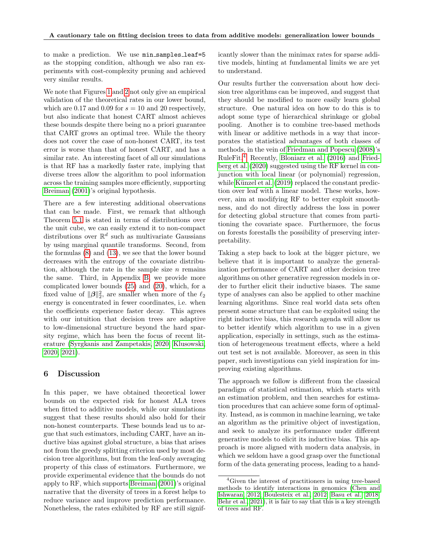to make a prediction. We use min\_samples\_leaf=5 as the stopping condition, although we also ran experiments with cost-complexity pruning and achieved very similar results.

We note that Figures [1](#page-6-1) and [2](#page-21-1) not only give an empirical validation of the theoretical rates in our lower bound, which are 0.17 and 0.09 for  $s = 10$  and 20 respectively, but also indicate that honest CART almost achieves these bounds despite there being no a priori guarantee that CART grows an optimal tree. While the theory does not cover the case of non-honest CART, its test error is worse than that of honest CART, and has a similar rate. An interesting facet of all our simulations is that RF has a markedly faster rate, implying that diverse trees allow the algorithm to pool information across the training samples more efficiently, supporting [Breiman](#page-8-4) [\(2001\)](#page-8-4)'s original hypothesis.

There are a few interesting additional observations that can be made. First, we remark that although Theorem [5.1](#page-5-3) is stated in terms of distributions over the unit cube, we can easily extend it to non-compact distributions over  $\mathbb{R}^d$  such as multivariate Gaussians by using marginal quantile transforms. Second, from the formulas [\(8\)](#page-5-5) and [\(13\)](#page-6-0), we see that the lower bound decreases with the entropy of the covariate distribution, although the rate in the sample size  $n$  remains the same. Third, in Appendix [B,](#page-13-1) we provide more complicated lower bounds [\(25\)](#page-17-2) and [\(20\)](#page-15-1), which, for a fixed value of  $\|\boldsymbol{\beta}\|_2^2$ , are smaller when more of the  $\ell_2$ energy is concentrated in fewer coordinates, i.e. when the coefficients experience faster decay. This agrees with our intuition that decision trees are adaptive to low-dimensional structure beyond the hard sparsity regime, which has been the focus of recent literature [\(Syrgkanis and Zampetakis, 2020;](#page-10-4) [Klusowski,](#page-9-12) [2020,](#page-9-12) [2021\)](#page-9-13).

#### 6 Discussion

In this paper, we have obtained theoretical lower bounds on the expected risk for honest ALA trees when fitted to additive models, while our simulations suggest that these results should also hold for their non-honest counterparts. These bounds lead us to argue that such estimators, including CART, have an inductive bias against global structure, a bias that arises not from the greedy splitting criterion used by most decision tree algorithms, but from the leaf-only averaging property of this class of estimators. Furthermore, we provide experimental evidence that the bounds do not apply to RF, which supports [Breiman](#page-8-4) [\(2001\)](#page-8-4)'s original narrative that the diversity of trees in a forest helps to reduce variance and improve prediction performance. Nonetheless, the rates exhibited by RF are still significantly slower than the minimax rates for sparse additive models, hinting at fundamental limits we are yet to understand.

Our results further the conversation about how decision tree algorithms can be improved, and suggest that they should be modified to more easily learn global structure. One natural idea on how to do this is to adopt some type of hierarchical shrinkage or global pooling. Another is to combine tree-based methods with linear or additive methods in a way that incorporates the statistical advantages of both classes of methods, in the vein of [Friedman and Popescu](#page-9-21) [\(2008\)](#page-9-21)'s RuleFit.[4](#page-7-0) Recently, [Bloniarz et al.](#page-8-18) [\(2016\)](#page-8-18) and [Fried](#page-8-19)[berg et al.](#page-8-19) [\(2020\)](#page-8-19) suggested using the RF kernel in conjunction with local linear (or polynomial) regression, while Künzel et al.  $(2019)$  replaced the constant prediction over leaf with a linear model. These works, however, aim at modifying RF to better exploit smoothness, and do not directly address the loss in power for detecting global structure that comes from partitioning the covariate space. Furthermore, the focus on forests forestalls the possibility of preserving interpretability.

Taking a step back to look at the bigger picture, we believe that it is important to analyze the generalization performance of CART and other decision tree algorithms on other generative regression models in order to further elicit their inductive biases. The same type of analyses can also be applied to other machine learning algorithms. Since real world data sets often present some structure that can be exploited using the right inductive bias, this research agenda will allow us to better identify which algorithm to use in a given application, especially in settings, such as the estimation of heterogeneous treatment effects, where a held out test set is not available. Moreover, as seen in this paper, such investigations can yield inspiration for improving existing algorithms.

The approach we follow is different from the classical paradigm of statistical estimation, which starts with an estimation problem, and then searches for estimation procedures that can achieve some form of optimality. Instead, as is common in machine learning, we take an algorithm as the primitive object of investigation, and seek to analyze its performance under different generative models to elicit its inductive bias. This approach is more aligned with modern data analysis, in which we seldom have a good grasp over the functional form of the data generating process, leading to a hand-

<span id="page-7-0"></span><sup>&</sup>lt;sup>4</sup>Given the interest of practitioners in using tree-based methods to identify interactions in genomics [\(Chen and](#page-8-20) [Ishwaran, 2012;](#page-8-20) [Boulesteix et al., 2012;](#page-8-9) [Basu et al., 2018;](#page-8-10) [Behr et al., 2021\)](#page-8-16), it is fair to say that this is a key strength of trees and RF.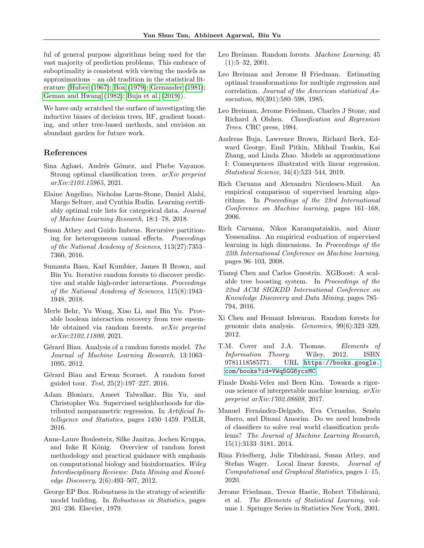ful of general purpose algorithms being used for the vast majority of prediction problems. This embrace of suboptimality is consistent with viewing the models as approximations – an old tradition in the statistical literature [\(Huber](#page-9-23) [\(1967\)](#page-9-23); [Box](#page-8-21) [\(1979\)](#page-8-21); [Grenander](#page-9-24) [\(1981\)](#page-9-24); [Geman and Hwang](#page-9-25) [\(1982\)](#page-9-25); [Buja et al.](#page-8-22) [\(2019\)](#page-8-22)).

We have only scratched the surface of investigating the inductive biases of decision trees, RF, gradient boosting, and other tree-based methods, and envision an abundant garden for future work.

#### References

- <span id="page-8-1"></span>Sina Aghaei, Andrés Gómez, and Phebe Vayanos. Strong optimal classification trees. arXiv preprint arXiv:2103.15965, 2021.
- <span id="page-8-3"></span>Elaine Angelino, Nicholas Larus-Stone, Daniel Alabi, Margo Seltzer, and Cynthia Rudin. Learning certifiably optimal rule lists for categorical data. Journal of Machine Learning Research, 18:1–78, 2018.
- <span id="page-8-14"></span>Susan Athey and Guido Imbens. Recursive partitioning for heterogeneous causal effects. Proceedings of the National Academy of Sciences, 113(27):7353– 7360, 2016.
- <span id="page-8-10"></span>Sumanta Basu, Karl Kumbier, James B Brown, and Bin Yu. Iterative random forests to discover predictive and stable high-order interactions. Proceedings of the National Academy of Sciences, 115(8):1943– 1948, 2018.
- <span id="page-8-16"></span>Merle Behr, Yu Wang, Xiao Li, and Bin Yu. Provable boolean interaction recovery from tree ensemble obtained via random forests. arXiv preprint arXiv:2102.11800, 2021.
- <span id="page-8-11"></span>Gérard Biau. Analysis of a random forests model. The Journal of Machine Learning Research, 13:1063– 1095, 2012.
- <span id="page-8-17"></span>Gérard Biau and Erwan Scornet. A random forest guided tour. Test, 25(2):197–227, 2016.
- <span id="page-8-18"></span>Adam Bloniarz, Ameet Talwalkar, Bin Yu, and Christopher Wu. Supervised neighborhoods for distributed nonparametric regression. In Artificial Intelligence and Statistics, pages 1450–1459. PMLR, 2016.
- <span id="page-8-9"></span>Anne-Laure Boulesteix, Silke Janitza, Jochen Kruppa, and Inke R König. Overview of random forest methodology and practical guidance with emphasis on computational biology and bioinformatics. Wiley Interdisciplinary Reviews: Data Mining and Knowledge Discovery, 2(6):493–507, 2012.
- <span id="page-8-21"></span>George EP Box. Robustness in the strategy of scientific model building. In Robustness in Statistics, pages 201–236. Elsevier, 1979.
- <span id="page-8-4"></span>Leo Breiman. Random forests. Machine Learning, 45 (1):5–32, 2001.
- <span id="page-8-13"></span>Leo Breiman and Jerome H Friedman. Estimating optimal transformations for multiple regression and correlation. Journal of the American statistical Association, 80(391):580–598, 1985.
- <span id="page-8-0"></span>Leo Breiman, Jerome Friedman, Charles J Stone, and Richard A Olshen. Classification and Regression Trees. CRC press, 1984.
- <span id="page-8-22"></span>Andreas Buja, Lawrence Brown, Richard Berk, Edward George, Emil Pitkin, Mikhail Traskin, Kai Zhang, and Linda Zhao. Models as approximations I: Consequences illustrated with linear regression. Statistical Science, 34(4):523–544, 2019.
- <span id="page-8-5"></span>Rich Caruana and Alexandru Niculescu-Mizil. An empirical comparison of supervised learning algorithms. In Proceedings of the 23rd International Conference on Machine learning, pages 161–168, 2006.
- <span id="page-8-6"></span>Rich Caruana, Nikos Karampatziakis, and Ainur Yessenalina. An empirical evaluation of supervised learning in high dimensions. In Proceedings of the 25th International Conference on Machine learning, pages 96–103, 2008.
- <span id="page-8-8"></span>Tianqi Chen and Carlos Guestrin. XGBoost: A scalable tree boosting system. In Proceedings of the 22nd ACM SIGKDD International Conference on Knowledge Discovery and Data Mining, pages 785– 794, 2016.
- <span id="page-8-20"></span>Xi Chen and Hemant Ishwaran. Random forests for genomic data analysis. Genomics, 99(6):323–329, 2012.
- <span id="page-8-15"></span>T.M. Cover and J.A. Thomas. Elements of Information Theory. Wiley, 2012. ISBN 9781118585771. URL [https://books.google.](https://books.google.com/books?id=VWq5GG6ycxMC) [com/books?id=VWq5GG6ycxMC](https://books.google.com/books?id=VWq5GG6ycxMC).
- <span id="page-8-2"></span>Finale Doshi-Velez and Been Kim. Towards a rigorous science of interpretable machine learning. arXiv preprint arXiv:1702.08608, 2017.
- <span id="page-8-7"></span>Manuel Fernández-Delgado, Eva Cernadas, Senén Barro, and Dinani Amorim. Do we need hundreds of classifiers to solve real world classification problems? The Journal of Machine Learning Research, 15(1):3133–3181, 2014.
- <span id="page-8-19"></span>Rina Friedberg, Julie Tibshirani, Susan Athey, and Stefan Wager. Local linear forests. Journal of Computational and Graphical Statistics, pages 1–15, 2020.
- <span id="page-8-12"></span>Jerome Friedman, Trevor Hastie, Robert Tibshirani, et al. The Elements of Statistical Learning, volume 1. Springer Series in Statistics New York, 2001.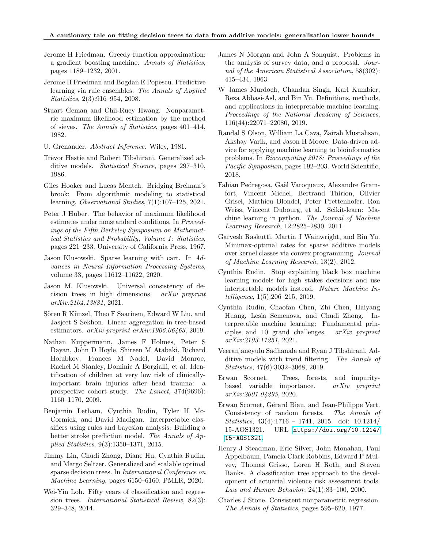#### A cautionary tale on fitting decision trees to data from additive models: generalization lower bounds

- <span id="page-9-8"></span>Jerome H Friedman. Greedy function approximation: a gradient boosting machine. Annals of Statistics, pages 1189–1232, 2001.
- <span id="page-9-21"></span>Jerome H Friedman and Bogdan E Popescu. Predictive learning via rule ensembles. The Annals of Applied Statistics, 2(3):916–954, 2008.
- <span id="page-9-25"></span>Stuart Geman and Chii-Ruey Hwang. Nonparametric maximum likelihood estimation by the method of sieves. The Annals of Statistics, pages 401–414, 1982.
- <span id="page-9-24"></span>U. Grenander. Abstract Inference. Wiley, 1981.
- <span id="page-9-14"></span>Trevor Hastie and Robert Tibshirani. Generalized additive models. *Statistical Science*, pages 297–310, 1986.
- <span id="page-9-20"></span>Giles Hooker and Lucas Mentch. Bridging Breiman's brook: From algorithmic modeling to statistical learning. Observational Studies, 7(1):107–125, 2021.
- <span id="page-9-23"></span>Peter J Huber. The behavior of maximum likelihood estimates under nonstandard conditions. In Proceedings of the Fifth Berkeley Symposium on Mathematical Statistics and Probability, Volume 1: Statistics, pages 221–233. University of California Press, 1967.
- <span id="page-9-12"></span>Jason Klusowski. Sparse learning with cart. In Advances in Neural Information Processing Systems, volume 33, pages 11612–11622, 2020.
- <span id="page-9-13"></span>Jason M. Klusowski. Universal consistency of decision trees in high dimensions. arXiv preprint arXiv:2104.13881, 2021.
- <span id="page-9-22"></span>Sören R Künzel, Theo F Saarinen, Edward W Liu, and Jasjeet S Sekhon. Linear aggregation in tree-based estimators. arXiv preprint arXiv:1906.06463, 2019.
- <span id="page-9-6"></span>Nathan Kuppermann, James F Holmes, Peter S Dayan, John D Hoyle, Shireen M Atabaki, Richard Holubkov, Frances M Nadel, David Monroe, Rachel M Stanley, Dominic A Borgialli, et al. Identification of children at very low risk of clinicallyimportant brain injuries after head trauma: a prospective cohort study. The Lancet, 374(9696): 1160–1170, 2009.
- <span id="page-9-7"></span>Benjamin Letham, Cynthia Rudin, Tyler H Mc-Cormick, and David Madigan. Interpretable classifiers using rules and bayesian analysis: Building a better stroke prediction model. The Annals of Applied Statistics, 9(3):1350–1371, 2015.
- <span id="page-9-1"></span>Jimmy Lin, Chudi Zhong, Diane Hu, Cynthia Rudin, and Margo Seltzer. Generalized and scalable optimal sparse decision trees. In International Conference on Machine Learning, pages 6150–6160. PMLR, 2020.
- <span id="page-9-19"></span>Wei-Yin Loh. Fifty years of classification and regression trees. International Statistical Review, 82(3): 329–348, 2014.
- <span id="page-9-0"></span>James N Morgan and John A Sonquist. Problems in the analysis of survey data, and a proposal. Journal of the American Statistical Association, 58(302): 415–434, 1963.
- <span id="page-9-3"></span>W James Murdoch, Chandan Singh, Karl Kumbier, Reza Abbasi-Asl, and Bin Yu. Definitions, methods, and applications in interpretable machine learning. Proceedings of the National Academy of Sciences, 116(44):22071–22080, 2019.
- <span id="page-9-9"></span>Randal S Olson, William La Cava, Zairah Mustahsan, Akshay Varik, and Jason H Moore. Data-driven advice for applying machine learning to bioinformatics problems. In Biocomputing 2018: Proceedings of the Pacific Symposium, pages 192–203. World Scientific, 2018.
- <span id="page-9-10"></span>Fabian Pedregosa, Gaël Varoquaux, Alexandre Gramfort, Vincent Michel, Bertrand Thirion, Olivier Grisel, Mathieu Blondel, Peter Prettenhofer, Ron Weiss, Vincent Dubourg, et al. Scikit-learn: Machine learning in python. The Journal of Machine Learning Research, 12:2825–2830, 2011.
- <span id="page-9-16"></span>Garvesh Raskutti, Martin J Wainwright, and Bin Yu. Minimax-optimal rates for sparse additive models over kernel classes via convex programming. Journal of Machine Learning Research, 13(2), 2012.
- <span id="page-9-4"></span>Cynthia Rudin. Stop explaining black box machine learning models for high stakes decisions and use interpretable models instead. Nature Machine Intelligence, 1(5):206–215, 2019.
- <span id="page-9-2"></span>Cynthia Rudin, Chaofan Chen, Zhi Chen, Haiyang Huang, Lesia Semenova, and Chudi Zhong. Interpretable machine learning: Fundamental principles and 10 grand challenges. arXiv preprint arXiv:2103.11251, 2021.
- <span id="page-9-15"></span>Veeranjaneyulu Sadhanala and Ryan J Tibshirani. Additive models with trend filtering. The Annals of Statistics, 47(6):3032–3068, 2019.
- <span id="page-9-18"></span>Erwan Scornet. Trees, forests, and impuritybased variable importance. arXiv preprint arXiv:2001.04295, 2020.
- <span id="page-9-11"></span>Erwan Scornet, Gérard Biau, and Jean-Philippe Vert. Consistency of random forests. The Annals of Statistics, 43(4):1716 – 1741, 2015. doi: 10.1214/ 15-AOS1321. URL [https://doi.org/10.1214/](https://doi.org/10.1214/15-AOS1321) [15-AOS1321](https://doi.org/10.1214/15-AOS1321).
- <span id="page-9-5"></span>Henry J Steadman, Eric Silver, John Monahan, Paul Appelbaum, Pamela Clark Robbins, Edward P Mulvey, Thomas Grisso, Loren H Roth, and Steven Banks. A classification tree approach to the development of actuarial violence risk assessment tools. Law and Human Behavior, 24(1):83–100, 2000.
- <span id="page-9-17"></span>Charles J Stone. Consistent nonparametric regression. The Annals of Statistics, pages 595–620, 1977.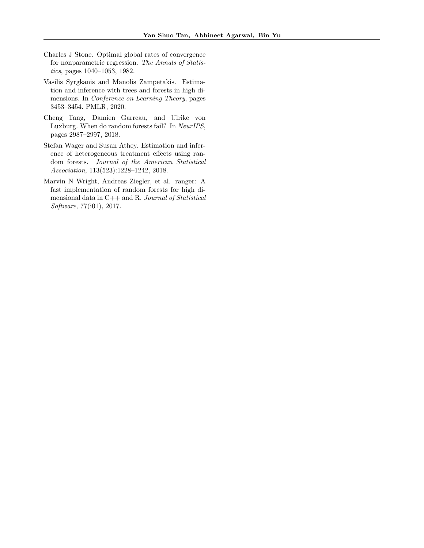- <span id="page-10-2"></span>Charles J Stone. Optimal global rates of convergence for nonparametric regression. The Annals of Statistics, pages 1040–1053, 1982.
- <span id="page-10-4"></span>Vasilis Syrgkanis and Manolis Zampetakis. Estimation and inference with trees and forests in high dimensions. In Conference on Learning Theory, pages 3453–3454. PMLR, 2020.
- <span id="page-10-3"></span>Cheng Tang, Damien Garreau, and Ulrike von Luxburg. When do random forests fail? In NeurIPS, pages 2987–2997, 2018.
- <span id="page-10-1"></span>Stefan Wager and Susan Athey. Estimation and inference of heterogeneous treatment effects using random forests. Journal of the American Statistical Association, 113(523):1228–1242, 2018.
- <span id="page-10-0"></span>Marvin N Wright, Andreas Ziegler, et al. ranger: A fast implementation of random forests for high dimensional data in C++ and R. Journal of Statistical Software, 77(i01), 2017.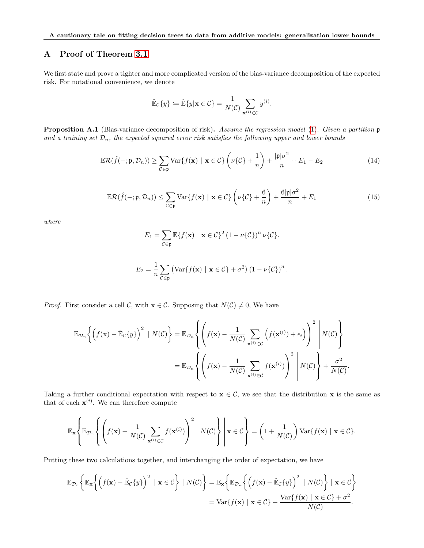# <span id="page-11-0"></span>A Proof of Theorem [3.1](#page-3-0)

We first state and prove a tighter and more complicated version of the bias-variance decomposition of the expected risk. For notational convenience, we denote

$$
\hat{\mathbb{E}}_{\mathcal{C}}\{y\} \coloneqq \hat{\mathbb{E}}\{y|\mathbf{x} \in \mathcal{C}\} = \frac{1}{N(\mathcal{C})} \sum_{\mathbf{x}^{(i)} \in \mathcal{C}} y^{(i)}.
$$

Proposition A.1 (Bias-variance decomposition of risk). Assume the regression model [\(1\)](#page-2-0). Given a partition  $\mathfrak p$ and a training set  $\mathcal{D}_n$ , the expected squared error risk satisfies the following upper and lower bounds

<span id="page-11-2"></span>
$$
\mathbb{E}\mathcal{R}(\hat{f}(-;\mathfrak{p},\mathcal{D}_n)) \ge \sum_{\mathcal{C}\in\mathfrak{p}} \text{Var}\{f(\mathbf{x}) \mid \mathbf{x}\in\mathcal{C}\} \left(\nu\{\mathcal{C}\} + \frac{1}{n}\right) + \frac{|\mathfrak{p}|\sigma^2}{n} + E_1 - E_2 \tag{14}
$$

<span id="page-11-1"></span>
$$
\mathbb{E}\mathcal{R}(\hat{f}(-;\mathfrak{p},\mathcal{D}_n)) \le \sum_{\mathcal{C}\in\mathfrak{p}} \text{Var}\{f(\mathbf{x}) \mid \mathbf{x}\in\mathcal{C}\} \left(\nu\{\mathcal{C}\} + \frac{6}{n}\right) + \frac{6|\mathfrak{p}|\sigma^2}{n} + E_1
$$
 (15)

where

$$
E_1 = \sum_{\mathcal{C}\in\mathfrak{p}} \mathbb{E}\{f(\mathbf{x}) \mid \mathbf{x}\in\mathcal{C}\}^2 (1-\nu\{\mathcal{C}\})^n \nu\{\mathcal{C}\}.
$$

$$
E_2 = \frac{1}{n} \sum_{\mathcal{C} \in \mathfrak{p}} \left( \text{Var}\{f(\mathbf{x}) \mid \mathbf{x} \in \mathcal{C}\} + \sigma^2 \right) (1 - \nu \{\mathcal{C}\})^n.
$$

*Proof.* First consider a cell C, with  $\mathbf{x} \in \mathcal{C}$ . Supposing that  $N(\mathcal{C}) \neq 0$ , We have

$$
\mathbb{E}_{\mathcal{D}_n}\left\{\left(f(\mathbf{x}) - \hat{\mathbb{E}}_{\mathcal{C}}\{y\}\right)^2 \mid N(\mathcal{C})\right\} = \mathbb{E}_{\mathcal{D}_n}\left\{\left(f(\mathbf{x}) - \frac{1}{N(\mathcal{C})}\sum_{\mathbf{x}^{(i)} \in \mathcal{C}}\left(f(\mathbf{x}^{(i)}) + \epsilon_i\right)\right)^2 \middle| N(\mathcal{C})\right\}
$$

$$
= \mathbb{E}_{\mathcal{D}_n}\left\{\left(f(\mathbf{x}) - \frac{1}{N(\mathcal{C})}\sum_{\mathbf{x}^{(i)} \in \mathcal{C}}f(\mathbf{x}^{(i)})\right)^2 \middle| N(\mathcal{C})\right\} + \frac{\sigma^2}{N(\mathcal{C})}.
$$

Taking a further conditional expectation with respect to  $x \in C$ , we see that the distribution x is the same as that of each  $\mathbf{x}^{(i)}$ . We can therefore compute

$$
\mathbb{E}_{\mathbf{x}}\left\{\mathbb{E}_{\mathcal{D}_n}\left\{\left(f(\mathbf{x})-\frac{1}{N(\mathcal{C})}\sum_{\mathbf{x}^{(i)}\in\mathcal{C}}f(\mathbf{x}^{(i)})\right)^2\ \middle\vert\ N(\mathcal{C})\right\}\ \middle\vert\ \mathbf{x}\in\mathcal{C}\right\}=\left(1+\frac{1}{N(\mathcal{C})}\right)\text{Var}\{f(\mathbf{x})\ \mid\ \mathbf{x}\in\mathcal{C}\}.
$$

Putting these two calculations together, and interchanging the order of expectation, we have

$$
\mathbb{E}_{\mathcal{D}_n}\bigg\{\mathbb{E}_{\mathbf{x}}\bigg\{\Big(f(\mathbf{x})-\hat{\mathbb{E}}_{\mathcal{C}}\{y\}\Big)^2\,\mid\mathbf{x}\in\mathcal{C}\bigg\}\,\mid N(\mathcal{C})\bigg\}=\mathbb{E}_{\mathbf{x}}\bigg\{\mathbb{E}_{\mathcal{D}_n}\bigg\{\Big(f(\mathbf{x})-\hat{\mathbb{E}}_{\mathcal{C}}\{y\}\Big)^2\,\mid N(\mathcal{C})\bigg\}\,\mid\mathbf{x}\in\mathcal{C}\bigg\}
$$
\n
$$
=\text{Var}\{f(\mathbf{x})\mid\mathbf{x}\in\mathcal{C}\}+\frac{\text{Var}\{f(\mathbf{x})\mid\mathbf{x}\in\mathcal{C}\}+\sigma^2}{N(\mathcal{C})}.
$$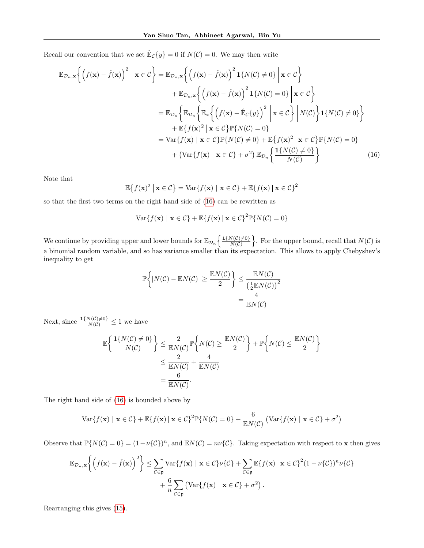Recall our convention that we set  $\mathbb{E}_{\mathcal{C}}\{y\} = 0$  if  $N(\mathcal{C}) = 0$ . We may then write

$$
\mathbb{E}_{\mathcal{D}_n,\mathbf{x}}\left\{\left(f(\mathbf{x}) - \hat{f}(\mathbf{x})\right)^2 \, \middle| \, \mathbf{x} \in \mathcal{C}\right\} = \mathbb{E}_{\mathcal{D}_n,\mathbf{x}}\left\{\left(f(\mathbf{x}) - \hat{f}(\mathbf{x})\right)^2 \mathbf{1}\{N(\mathcal{C}) \neq 0\} \, \middle| \, \mathbf{x} \in \mathcal{C}\right\} \n+ \mathbb{E}_{\mathcal{D}_n,\mathbf{x}}\left\{\left(f(\mathbf{x}) - \hat{f}(\mathbf{x})\right)^2 \mathbf{1}\{N(\mathcal{C}) = 0\} \, \middle| \, \mathbf{x} \in \mathcal{C}\right\} \n= \mathbb{E}_{\mathcal{D}_n}\left\{\mathbb{E}_{\mathcal{D}_n}\left\{\mathbb{E}_{\mathbf{x}}\left\{\left(f(\mathbf{x}) - \hat{\mathbb{E}}_{\mathcal{C}}\{y\}\right)^2 \, \middle| \, \mathbf{x} \in \mathcal{C}\right\} \, \middle| \, N(\mathcal{C})\right\} \mathbf{1}\{N(\mathcal{C}) \neq 0\}\right\} \n+ \mathbb{E}\left\{f(\mathbf{x})^2 \, \middle| \, \mathbf{x} \in \mathcal{C}\right\} \mathbb{P}\left\{N(\mathcal{C}) = 0\right\} \n= \text{Var}\left\{f(\mathbf{x}) \, \middle| \, \mathbf{x} \in \mathcal{C}\right\} \mathbb{P}\left\{N(\mathcal{C}) \neq 0\right\} + \mathbb{E}\left\{f(\mathbf{x})^2 \, \middle| \, \mathbf{x} \in \mathcal{C}\right\} \mathbb{P}\left\{N(\mathcal{C}) = 0\right\} \n+ \left(\text{Var}\left\{f(\mathbf{x}) \, \middle| \, \mathbf{x} \in \mathcal{C}\right\} + \sigma^2\right) \mathbb{E}_{\mathcal{D}_n}\left\{\frac{\mathbf{1}\left\{N(\mathcal{C}) \neq 0\right\}}{N(\mathcal{C})}\right\}
$$
\n(16)

Note that

$$
\mathbb{E}\big\{f(\mathbf{x})^2 \,\big|\, \mathbf{x} \in \mathcal{C}\big\} = \text{Var}\{f(\mathbf{x}) \,\big|\, \mathbf{x} \in \mathcal{C}\} + \mathbb{E}\{f(\mathbf{x}) \,\big|\, \mathbf{x} \in \mathcal{C}\}^2
$$

so that the first two terms on the right hand side of [\(16\)](#page-12-0) can be rewritten as

<span id="page-12-0"></span>
$$
\text{Var}\{f(\mathbf{x}) \mid \mathbf{x} \in C\} + \mathbb{E}\{f(\mathbf{x}) \mid \mathbf{x} \in C\}^2 \mathbb{P}\{N(C) = 0\}
$$

We continue by providing upper and lower bounds for  $\mathbb{E}_{\mathcal{D}_n} \left\{ \frac{1\{N(C) \neq 0\}}{N(C)} \right\}$  $\frac{N(C)\neq 0}{N(C)}$ . For the upper bound, recall that  $N(C)$  is a binomial random variable, and so has variance smaller than its expectation. This allows to apply Chebyshev's inequality to get

$$
\mathbb{P}\left\{|N(\mathcal{C}) - \mathbb{E}N(\mathcal{C})| \ge \frac{\mathbb{E}N(\mathcal{C})}{2}\right\} \le \frac{\mathbb{E}N(\mathcal{C})}{\left(\frac{1}{2}\mathbb{E}N(\mathcal{C})\right)^2} = \frac{4}{\mathbb{E}N(\mathcal{C})}
$$

Next, since  $\frac{\mathbf{1}\{N(\mathcal{C})\neq0\}}{N(\mathcal{C})}\leq1$  we have

$$
\mathbb{E}\left\{\frac{\mathbf{1}\{N(\mathcal{C})\neq 0\}}{N(\mathcal{C})}\right\} \leq \frac{2}{\mathbb{E}N(\mathcal{C})}\mathbb{P}\left\{N(\mathcal{C}) \geq \frac{\mathbb{E}N(\mathcal{C})}{2}\right\} + \mathbb{P}\left\{N(\mathcal{C}) \leq \frac{\mathbb{E}N(\mathcal{C})}{2}\right\}
$$

$$
\leq \frac{2}{\mathbb{E}N(\mathcal{C})} + \frac{4}{\mathbb{E}N(\mathcal{C})}
$$

$$
= \frac{6}{\mathbb{E}N(\mathcal{C})}.
$$

The right hand side of [\(16\)](#page-12-0) is bounded above by

$$
\text{Var}\{f(\mathbf{x}) \mid \mathbf{x} \in C\} + \mathbb{E}\{f(\mathbf{x}) \mid \mathbf{x} \in C\}^2 \mathbb{P}\{N(C) = 0\} + \frac{6}{\mathbb{E}N(C)} \left(\text{Var}\{f(\mathbf{x}) \mid \mathbf{x} \in C\} + \sigma^2\right)
$$

Observe that  $\mathbb{P}{N(\mathcal{C})=0}=(1-\nu{\{\mathcal{C}\}})^n$ , and  $\mathbb{E}N(\mathcal{C})=n\nu{\{\mathcal{C}\}}$ . Taking expectation with respect to **x** then gives

$$
\mathbb{E}_{\mathcal{D}_n,\mathbf{x}}\bigg\{\big(f(\mathbf{x})-\hat{f}(\mathbf{x})\big)^2\bigg\} \leq \sum_{\mathcal{C}\in\mathfrak{p}} \text{Var}\{f(\mathbf{x}) \mid \mathbf{x}\in\mathcal{C}\}\nu\{\mathcal{C}\} + \sum_{\mathcal{C}\in\mathfrak{p}} \mathbb{E}\{f(\mathbf{x}) \mid \mathbf{x}\in\mathcal{C}\}^2 (1-\nu\{\mathcal{C}\})^n\nu\{\mathcal{C}\}\n+ \frac{6}{n}\sum_{\mathcal{C}\in\mathfrak{p}} \big(\text{Var}\{f(\mathbf{x}) \mid \mathbf{x}\in\mathcal{C}\} + \sigma^2\big).
$$

Rearranging this gives [\(15\)](#page-11-1).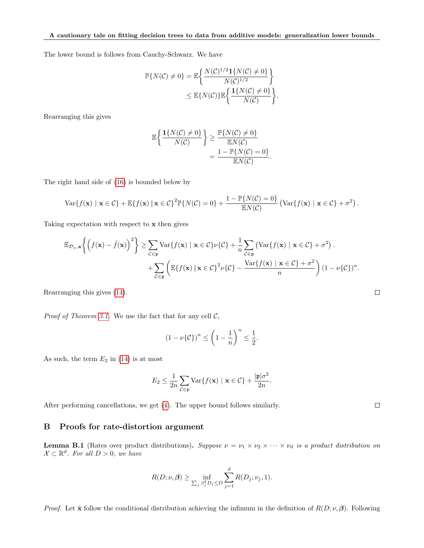The lower bound is follows from Cauchy-Schwarz. We have

$$
\mathbb{P}\{N(\mathcal{C}) \neq 0\} = \mathbb{E}\left\{\frac{N(\mathcal{C})^{1/2}\mathbf{1}\{N(\mathcal{C}) \neq 0\}}{N(\mathcal{C})^{1/2}}\right\}
$$

$$
\leq \mathbb{E}\{N(\mathcal{C})\}\mathbb{E}\left\{\frac{\mathbf{1}\{N(\mathcal{C}) \neq 0\}}{N(\mathcal{C})}\right\}
$$

.

 $\Box$ 

 $\Box$ 

Rearranging this gives

$$
\mathbb{E}\left\{\frac{\mathbf{1}\{N(\mathcal{C})\neq 0\}}{N(\mathcal{C})}\right\} \ge \frac{\mathbb{P}\{N(\mathcal{C})\neq 0\}}{\mathbb{E}N(\mathcal{C})} = \frac{1 - \mathbb{P}\{N(\mathcal{C}) = 0\}}{\mathbb{E}N(\mathcal{C})}.
$$

The right hand side of [\(16\)](#page-12-0) is bounded below by

$$
\text{Var}\{f(\mathbf{x}) \mid \mathbf{x} \in C\} + \mathbb{E}\{f(\mathbf{x}) \mid \mathbf{x} \in C\}^2 \mathbb{P}\{N(C) = 0\} + \frac{1 - \mathbb{P}\{N(C) = 0\}}{\mathbb{E}N(C)} (\text{Var}\{f(\mathbf{x}) \mid \mathbf{x} \in C\} + \sigma^2).
$$

Taking expectation with respect to x then gives

$$
\mathbb{E}_{\mathcal{D}_n,\mathbf{x}}\bigg\{\big(f(\mathbf{x})-\hat{f}(\mathbf{x})\big)^2\bigg\} \ge \sum_{\mathcal{C}\in\mathfrak{p}} \text{Var}\{f(\mathbf{x}) \mid \mathbf{x}\in\mathcal{C}\}\nu\{\mathcal{C}\} + \frac{1}{n}\sum_{\mathcal{C}\in\mathfrak{p}} \left(\text{Var}\{f(\mathbf{x}) \mid \mathbf{x}\in\mathcal{C}\} + \sigma^2\right).
$$

$$
+ \sum_{\mathcal{C}\in\mathfrak{p}} \left(\mathbb{E}\{f(\mathbf{x}) \mid \mathbf{x}\in\mathcal{C}\}^2\nu\{\mathcal{C}\} - \frac{\text{Var}\{f(\mathbf{x}) \mid \mathbf{x}\in\mathcal{C}\} + \sigma^2}{n}\right) (1-\nu\{\mathcal{C}\})^n.
$$

Rearranging this gives [\(14\)](#page-11-2).

*Proof of Theorem [3.1.](#page-3-0)* We use the fact that for any cell  $\mathcal{C}$ ,

$$
(1 - \nu{\mathcal{C}})^n \le \left(1 - \frac{1}{n}\right)^n \le \frac{1}{2}.
$$

As such, the term  $E_2$  in [\(14\)](#page-11-2) is at most

$$
E_2 \leq \frac{1}{2n} \sum_{\mathcal{C} \in \mathfrak{p}} \text{Var}\{f(\mathbf{x}) \mid \mathbf{x} \in \mathcal{C}\} + \frac{|\mathfrak{p}|\sigma^2}{2n}.
$$

After performing cancellations, we get [\(4\)](#page-3-1). The upper bound follows similarly.

### <span id="page-13-1"></span>B Proofs for rate-distortion argument

<span id="page-13-0"></span>**Lemma B.1** (Rates over product distributions). Suppose  $\nu = \nu_1 \times \nu_2 \times \cdots \times \nu_d$  is a product distribution on  $\mathcal{X} \subset \mathbb{R}^d$ . For all  $D > 0$ , we have

$$
R(D; \nu, \beta) \ge \inf_{\sum_j \beta_j^2 D_j \le D} \sum_{j=1}^d R(D_j; \nu_j, 1).
$$

*Proof.* Let  $\hat{\mathbf{x}}$  follow the conditional distribution achieving the infimum in the definition of  $R(D; \nu, \beta)$ . Following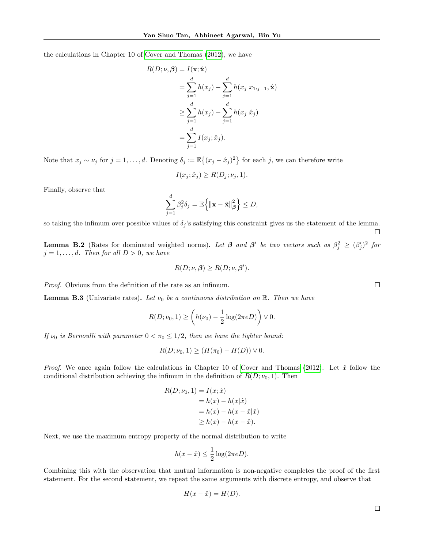the calculations in Chapter 10 of [Cover and Thomas](#page-8-15) [\(2012\)](#page-8-15), we have

$$
R(D; \nu, \beta) = I(\mathbf{x}; \hat{\mathbf{x}})
$$
  
= 
$$
\sum_{j=1}^{d} h(x_j) - \sum_{j=1}^{d} h(x_j | x_{1:j-1}, \hat{\mathbf{x}})
$$
  

$$
\geq \sum_{j=1}^{d} h(x_j) - \sum_{j=1}^{d} h(x_j | \hat{x}_j)
$$
  
= 
$$
\sum_{j=1}^{d} I(x_j; \hat{x}_j).
$$

Note that  $x_j \sim \nu_j$  for  $j = 1, \ldots, d$ . Denoting  $\delta_j := \mathbb{E}\{(x_j - \hat{x}_j)^2\}$  for each j, we can therefore write

$$
I(x_j; \hat{x}_j) \ge R(D_j; \nu_j, 1).
$$

Finally, observe that

$$
\sum_{j=1}^d \beta_j^2 \delta_j = \mathbb{E}\left\{ \|\mathbf{x} - \hat{\mathbf{x}}\|_{\boldsymbol{\beta}}^2 \right\} \leq D,
$$

so taking the infimum over possible values of  $\delta_j$ 's satisfying this constraint gives us the statement of the lemma.

<span id="page-14-0"></span>**Lemma B.2** (Rates for dominated weighted norms). Let  $\beta$  and  $\beta'$  be two vectors such as  $\beta_j^2 \geq (\beta_j')^2$  for  $j = 1, \ldots, d$ . Then for all  $D > 0$ , we have

$$
R(D; \nu, \beta) \ge R(D; \nu, \beta').
$$

Proof. Obvious from the definition of the rate as an infimum.

<span id="page-14-1"></span>**Lemma B.3** (Univariate rates). Let  $\nu_0$  be a continuous distribution on R. Then we have

$$
R(D; \nu_0, 1) \ge \left(h(\nu_0) - \frac{1}{2}\log(2\pi e D)\right) \vee 0.
$$

If  $\nu_0$  is Bernoulli with parameter  $0 < \pi_0 \leq 1/2$ , then we have the tighter bound:

$$
R(D; \nu_0, 1) \ge (H(\pi_0) - H(D)) \vee 0.
$$

*Proof.* We once again follow the calculations in Chapter 10 of [Cover and Thomas](#page-8-15) [\(2012\)](#page-8-15). Let  $\hat{x}$  follow the conditional distribution achieving the infimum in the definition of  $R(D; \nu_0, 1)$ . Then

$$
R(D; \nu_0, 1) = I(x; \hat{x})
$$
  
=  $h(x) - h(x|\hat{x})$   
=  $h(x) - h(x - \hat{x}|\hat{x})$   
 $\geq h(x) - h(x - \hat{x}).$ 

Next, we use the maximum entropy property of the normal distribution to write

$$
h(x - \hat{x}) \le \frac{1}{2} \log(2\pi eD).
$$

Combining this with the observation that mutual information is non-negative completes the proof of the first statement. For the second statement, we repeat the same arguments with discrete entropy, and observe that

$$
H(x - \hat{x}) = H(D).
$$

 $\Box$ 

 $\Box$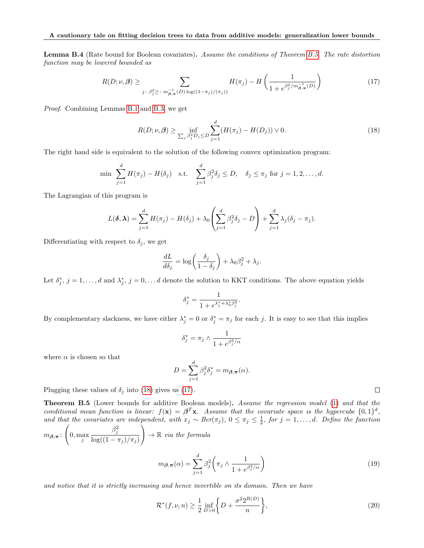<span id="page-15-4"></span>Lemma B.4 (Rate bound for Boolean covariates). Assume the conditions of Theorem [B.5.](#page-15-0) The rate distortion function may be lowered bounded as

<span id="page-15-3"></span>
$$
R(D; \nu, \beta) \ge \sum_{j \colon \beta_j^2 \ge \,:\, m_{\beta, \pi}^{-1}(D) \log((1-\pi_j)/(\pi_j))} H(\pi_j) - H\left(\frac{1}{1 + e^{\beta_j^2/m_{\beta, \pi}^{-1}(D)}}\right) \tag{17}
$$

Proof. Combining Lemmas [B.1](#page-13-0) and [B.3,](#page-14-1) we get

<span id="page-15-2"></span>
$$
R(D; \nu, \beta) \ge \inf_{\sum_{j} \beta_j^2 D_j \le D} \sum_{j=1}^{d} (H(\pi_j) - H(D_j)) \vee 0.
$$
 (18)

The right hand side is equivalent to the solution of the following convex optimization program:

$$
\min \sum_{j=1}^d H(\pi_j) - H(\delta_j) \quad \text{s.t.} \quad \sum_{j=1}^d \beta_j^2 \delta_j \le D, \quad \delta_j \le \pi_j \text{ for } j = 1, 2, \dots, d.
$$

The Lagrangian of this program is

$$
L(\boldsymbol{\delta}, \boldsymbol{\lambda}) = \sum_{j=1}^d H(\pi_j) - H(\delta_j) + \lambda_0 \left( \sum_{j=1}^d \beta_j^2 \delta_j - D \right) + \sum_{j=1}^d \lambda_j (\delta_j - \pi_j).
$$

Differentiating with respect to  $\delta_j$ , we get

$$
\frac{dL}{d\delta_j} = \log\bigg(\frac{\delta_j}{1-\delta_j}\bigg) + \lambda_0\beta_j^2 + \lambda_j.
$$

Let  $\delta_j^*, j = 1, \ldots, d$  and  $\lambda_j^*, j = 0, \ldots, d$  denote the solution to KKT conditions. The above equation yields

$$
\delta_j^* = \frac{1}{1 + e^{\lambda_j^* + \lambda_0^* \beta_j^2}}.
$$

By complementary slackness, we have either  $\lambda_j^* = 0$  or  $\delta_j^* = \pi_j$  for each j. It is easy to see that this implies

$$
\delta_j^* = \pi_j \wedge \frac{1}{1 + e^{\beta_j^2/\alpha}}
$$

where  $\alpha$  is chosen so that

$$
D = \sum_{j=1}^{d} \beta_j^2 \delta_j^* = m_{\boldsymbol{\beta}, \boldsymbol{\pi}}(\alpha).
$$

Plugging these values of  $\delta_j$  into [\(18\)](#page-15-2) gives us [\(17\)](#page-15-3).

<span id="page-15-0"></span>**Theorem B.5** (Lower bounds for additive Boolean models). Assume the regression model [\(1\)](#page-2-0) and that the conditional mean function is linear:  $f(\mathbf{x}) = \boldsymbol{\beta}^T \mathbf{x}$ . Assume that the covariate space is the hypercube  $\{0,1\}^d$ , and that the covariates are independent, with  $x_j \sim Ber(\pi_j)$ ,  $0 \leq \pi_j \leq \frac{1}{2}$ , for  $j = 1, ..., d$ . Define the function

$$
m_{\beta,\pi} : \left(0, \max_{j} \frac{\beta_j^2}{\log((1-\pi_j)/\pi_j)}\right) \to \mathbb{R} \text{ via the formula}
$$

$$
m_{\beta,\pi}(\alpha) = \sum_{i=1}^{d} \beta_j^2 \left(\pi_j \wedge \frac{1}{1 + e^{\beta_j^2/\alpha}}\right)
$$
(19)

and notice that it is strictly increasing and hence invertible on its domain. Then we have

 $j=1$ 

<span id="page-15-1"></span>
$$
\mathcal{R}^*(f,\nu,n) \ge \frac{1}{2} \inf_{D>0} \left\{ D + \frac{\sigma^2 2^{R(D)}}{n} \right\},\tag{20}
$$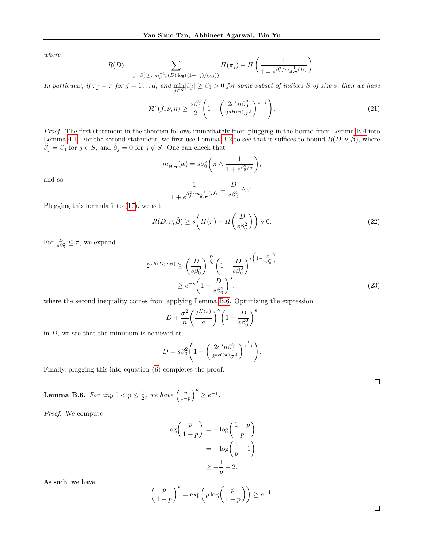where

$$
R(D) = \sum_{j \,:\,\beta_j^2 \geq \,:\,m_{\beta,\pi}^{-1}(D)\log((1-\pi_j)/(\pi_j))} H(\pi_j) - H\left(\frac{1}{1 + e^{\beta_j^2/m_{\beta,\pi}^{-1}(D)}}\right)
$$

In particular, if  $\pi_j = \pi$  for  $j = 1 \dots d$ , and  $\min_{j \in S} |\beta_j| \ge \beta_0 > 0$  for some subset of indices S of size s, then we have

$$
\mathcal{R}^*(f,\nu,n) \ge \frac{s\beta_0^2}{2} \left( 1 - \left( \frac{2e^s n \beta_0^2}{2^{sH(\pi)}\sigma^2} \right)^{\frac{1}{s-1}} \right). \tag{21}
$$

.

Proof. The first statement in the theorem follows immediately from plugging in the bound from Lemma [B.4](#page-15-4) into Lemma [4.1.](#page-4-2) For the second statement, we first use Lemma [B.2](#page-14-0) to see that it suffices to bound  $R(D; \nu, \tilde{\beta})$ , where  $\tilde{\beta}_j = \beta_0$  for  $j \in S$ , and  $\tilde{\beta}_j = 0$  for  $j \notin S$ . One can check that

$$
m_{\tilde{\boldsymbol{\beta}}, \boldsymbol{\pi}}(\alpha) = s\beta_0^2 \bigg( \pi \wedge \frac{1}{1 + e^{\beta_0^2/\alpha}} \bigg),
$$

and so

$$
\frac{1}{1+e^{\beta_j^2/m_{\vec{\pmb{\beta}},\boldsymbol{\pi}}^{-1}(D)}}=\frac{D}{s\beta_0^2}\wedge\pi.
$$

Plugging this formula into [\(17\)](#page-15-3), we get

<span id="page-16-0"></span>
$$
R(D; \nu, \tilde{\beta}) \ge s \left( H(\pi) - H\left(\frac{D}{s\beta_0^2}\right) \right) \vee 0. \tag{22}
$$

For  $\frac{D}{s\beta_0^2} \leq \pi$ , we expand

$$
2^{sR(D;\nu,\beta)} \ge \left(\frac{D}{s\beta_0^2}\right)^{\frac{D}{\beta_0^2}} \left(1 - \frac{D}{s\beta_0^2}\right)^{s} \left(1 - \frac{D}{s\beta_0^2}\right)^{s}
$$
  
 
$$
\ge e^{-s} \left(1 - \frac{D}{s\beta_0^2}\right)^s,
$$
 (23)

<span id="page-16-1"></span>.

.

where the second inequality comes from applying Lemma [B.6.](#page-16-2) Optimizing the expression

$$
D + \frac{\sigma^2}{n} \left(\frac{2^{H(\pi)}}{e}\right)^s \left(1 - \frac{D}{s\beta_0^2}\right)^s
$$

in  $D$ , we see that the minimum is achieved at

$$
D = s\beta_0^2 \left( 1 - \left( \frac{2e^s n \beta_0^2}{2^{sH(\pi)} \sigma^2} \right)^{\frac{1}{s-1}} \right)
$$

Finally, plugging this into equation [\(6\)](#page-4-1) completes the proof.

<span id="page-16-2"></span>**Lemma B.6.** For any 
$$
0 < p \leq \frac{1}{2}
$$
, we have  $\left(\frac{p}{1-p}\right)^p \geq e^{-1}$ .

Proof. We compute

$$
\log\left(\frac{p}{1-p}\right) = -\log\left(\frac{1-p}{p}\right)
$$

$$
= -\log\left(\frac{1}{p} - 1\right)
$$

$$
\ge -\frac{1}{p} + 2.
$$

As such, we have

$$
\left(\frac{p}{1-p}\right)^p = \exp\left(p\log\left(\frac{p}{1-p}\right)\right) \ge e^{-1}
$$

 $\Box$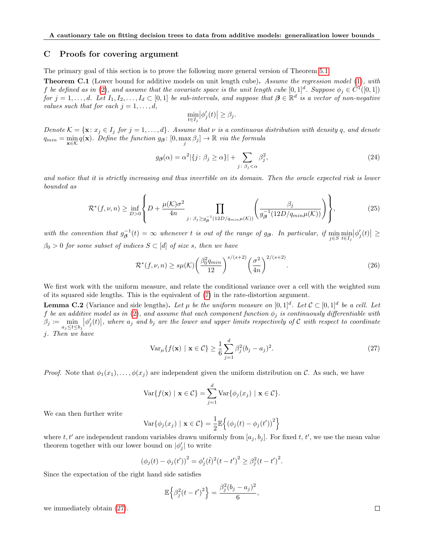#### <span id="page-17-1"></span>C Proofs for covering argument

The primary goal of this section is to prove the following more general version of Theorem [5.1.](#page-5-3)

<span id="page-17-0"></span>**Theorem C.1** (Lower bound for additive models on unit length cube). Assume the regression model [\(1\)](#page-2-0), with f be defined as in [\(2\)](#page-2-3), and assume that the covariate space is the unit length cube  $[0,1]^d$ . Suppose  $\phi_j \in C^1([0,1])$  $for j = 1, \ldots, d.$  Let  $I_1, I_2, \ldots, I_d \subset [0,1]$  be sub-intervals, and suppose that  $\boldsymbol{\beta} \in \mathbb{R}^d$  is a vector of non-negative values such that for each  $j = 1, \ldots, d$ ,

$$
\min_{t \in I_j} \left| \phi_j'(t) \right| \ge \beta_j.
$$

Denote  $\mathcal{K} = {\mathbf{x}: x_j \in I_j \text{ for } j = 1, ..., d}$ . Assume that  $\nu$  is a continuous distribution with density q, and denote  $q_{min} = \min_{\mathbf{x} \in \mathcal{K}} q(\mathbf{x})$ . Define the function  $g_{\boldsymbol{\beta}} \colon [0, \max_{j} \beta_j] \to \mathbb{R}$  via the formula

$$
g_{\beta}(\alpha) = \alpha^2 |\{j : \beta_j \ge \alpha\}| + \sum_{j : \beta_j < \alpha} \beta_j^2,\tag{24}
$$

and notice that it is strictly increasing and thus invertible on its domain. Then the oracle expected risk is lower bounded as

<span id="page-17-2"></span>
$$
\mathcal{R}^*(f,\nu,n) \ge \inf_{D>0} \left\{ D + \frac{\mu(\mathcal{K})\sigma^2}{4n} \prod_{j\colon \beta_j \ge g_\beta^{-1}(12D/q_{min}\mu(\mathcal{K}))} \left( \frac{\beta_j}{g_\beta^{-1}(12D/q_{min}\mu(\mathcal{K}))} \right) \right\},\tag{25}
$$

with the convention that  $g^{-1}_{\beta}(t) = \infty$  whenever t is out of the range of  $g_{\beta}$ . In particular, if  $\min_{j \in S} \min_{t \in I_j} |\phi'_j(t)| \ge$  $\beta_0 > 0$  for some subset of indices  $S \subset [d]$  of size s, then we have

$$
\mathcal{R}^*(f,\nu,n) \ge s\mu(\mathcal{K}) \left(\frac{\beta_0^2 q_{min}}{12}\right)^{s/(s+2)} \left(\frac{\sigma^2}{4n}\right)^{2/(s+2)}.\tag{26}
$$

We first work with the uniform measure, and relate the conditional variance over a cell with the weighted sum of its squared side lengths. This is the equivalent of [\(7\)](#page-4-3) in the rate-distortion argument.

<span id="page-17-4"></span>**Lemma C.2** (Variance and side lengths). Let  $\mu$  be the uniform measure on  $[0,1]^d$ . Let  $\mathcal{C} \subset [0,1]^d$  be a cell. Let f be an additive model as in [\(2\)](#page-2-3), and assume that each component function  $\phi_j$  is continuously differentiable with  $\beta_j := \min_{a_j \leq t \leq b_j} |\phi_j'(t)|$ , where  $a_j$  and  $b_j$  are the lower and upper limits respectively of C with respect to coordinate j. Then we have

<span id="page-17-3"></span>
$$
\text{Var}_{\mu}\{f(\mathbf{x}) \mid \mathbf{x} \in \mathcal{C}\} \ge \frac{1}{6} \sum_{j=1}^{d} \beta_j^2 (b_j - a_j)^2. \tag{27}
$$

*Proof.* Note that  $\phi_1(x_1), \ldots, \phi(x_j)$  are independent given the uniform distribution on C. As such, we have

$$
\operatorname{Var}\{f(\mathbf{x}) \mid \mathbf{x} \in \mathcal{C}\} = \sum_{j=1}^{d} \operatorname{Var}\{\phi_j(x_j) \mid \mathbf{x} \in \mathcal{C}\}.
$$

We can then further write

$$
\text{Var}\{\phi_j(x_j) \mid \mathbf{x} \in \mathcal{C}\} = \frac{1}{2} \mathbb{E}\left\{ \left(\phi_j(t) - \phi_j(t')\right)^2 \right\}
$$

where  $t, t'$  are independent random variables drawn uniformly from  $[a_j, b_j]$ . For fixed  $t, t'$ , we use the mean value theorem together with our lower bound on  $|\phi'_j|$  to write

$$
(\phi_j(t) - \phi_j(t'))^2 = \phi'_j(\tilde{t})^2(t - t')^2 \ge \beta_j^2(t - t')^2.
$$

Since the expectation of the right hand side satisfies

$$
\mathbb{E}\left\{\beta_j^2(t-t')^2\right\} = \frac{\beta_j^2(b_j-a_j)^2}{6},
$$

we immediately obtain [\(27\)](#page-17-3).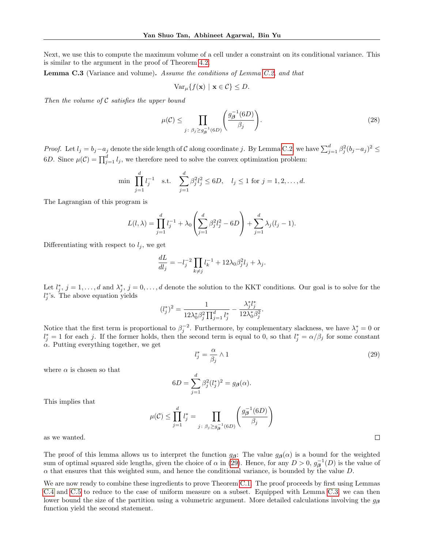Next, we use this to compute the maximum volume of a cell under a constraint on its conditional variance. This is similar to the argument in the proof of Theorem [4.2.](#page-5-2)

<span id="page-18-0"></span>**Lemma C.3** (Variance and volume). Assume the conditions of Lemma [C.2,](#page-17-4) and that

$$
\text{Var}_{\mu}\{f(\mathbf{x}) \mid \mathbf{x} \in \mathcal{C}\} \leq D.
$$

Then the volume of  $C$  satisfies the upper bound

$$
\mu(\mathcal{C}) \le \prod_{j \colon \beta_j \ge g_{\beta}^{-1}(6D)} \left( \frac{g_{\beta}^{-1}(6D)}{\beta_j} \right). \tag{28}
$$

*Proof.* Let  $l_j = b_j - a_j$  denote the side length of C along coordinate j. By Lemma [C.2,](#page-17-4) we have  $\sum_{j=1}^d \beta_j^2 (b_j - a_j)^2 \le$ 6D. Since  $\mu(\mathcal{C}) = \prod_{j=1}^d l_j$ , we therefore need to solve the convex optimization problem:

$$
\min \prod_{j=1}^d l_j^{-1} \quad \text{s.t.} \quad \sum_{j=1}^d \beta_j^2 l_j^2 \le 6D, \quad l_j \le 1 \text{ for } j = 1, 2, \dots, d.
$$

The Lagrangian of this program is

$$
L(l, \lambda) = \prod_{j=1}^{d} l_j^{-1} + \lambda_0 \left( \sum_{j=1}^{d} \beta_j^2 l_j^2 - 6D \right) + \sum_{j=1}^{d} \lambda_j (l_j - 1).
$$

Differentiating with respect to  $l_j$ , we get

$$
\frac{dL}{dl_j} = -l_j^{-2} \prod_{k \neq j} l_k^{-1} + 12\lambda_0 \beta_j^2 l_j + \lambda_j.
$$

Let  $l_j^*, j = 1, \ldots, d$  and  $\lambda_j^*, j = 0, \ldots, d$  denote the solution to the KKT conditions. Our goal is to solve for the  $l_j^*$ 's. The above equation yields

$$
(l_j^*)^2 = \frac{1}{12\lambda_0^*\beta_j^2\prod_{j=1}^d l_j^*} - \frac{\lambda_j^*l_j^*}{12\lambda_0^*\beta_j^2}.
$$

Notice that the first term is proportional to  $\beta_j^{-2}$ . Furthermore, by complementary slackness, we have  $\lambda_j^* = 0$  or  $l_j^* = 1$  for each j. If the former holds, then the second term is equal to 0, so that  $l_j^* = \alpha/\beta_j$  for some constant  $\alpha$ . Putting everything together, we get

<span id="page-18-1"></span>
$$
l_j^* = \frac{\alpha}{\beta_j} \wedge 1 \tag{29}
$$

where  $\alpha$  is chosen so that

$$
6D = \sum_{j=1}^d \beta_j^2 (l_j^*)^2 = g_{\boldsymbol{\beta}}(\alpha).
$$

This implies that

$$
\mu(\mathcal{C}) \le \prod_{j=1}^d l_j^* = \prod_{j \colon \beta_j \ge g_\beta^{-1}(6D)} \left( \frac{g_\beta^{-1}(6D)}{\beta_j} \right)
$$

as we wanted.

The proof of this lemma allows us to interpret the function  $g_{\beta}$ : The value  $g_{\beta}(\alpha)$  is a bound for the weighted sum of optimal squared side lengths, given the choice of  $\alpha$  in [\(29\)](#page-18-1). Hence, for any  $D > 0$ ,  $g^{-1}_{\beta}(D)$  is the value of  $\alpha$  that ensures that this weighted sum, and hence the conditional variance, is bounded by the value  $D$ .

We are now ready to combine these ingredients to prove Theorem [C.1.](#page-17-0) The proof proceeds by first using Lemmas [C.4](#page-20-0) and [C.5](#page-21-2) to reduce to the case of uniform measure on a subset. Equipped with Lemma [C.3,](#page-18-0) we can then lower bound the size of the partition using a volumetric argument. More detailed calculations involving the  $g_{\beta}$ function yield the second statement.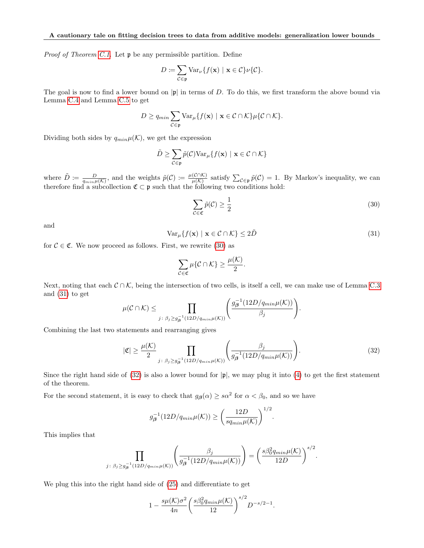Proof of Theorem [C.1.](#page-17-0) Let  $\mathfrak p$  be any permissible partition. Define

$$
D := \sum_{\mathcal{C} \in \mathfrak{p}} \text{Var}_{\nu} \{ f(\mathbf{x}) \mid \mathbf{x} \in \mathcal{C} \} \nu \{ \mathcal{C} \}.
$$

The goal is now to find a lower bound on  $|\mathfrak{p}|$  in terms of D. To do this, we first transform the above bound via Lemma [C.4](#page-20-0) and Lemma [C.5](#page-21-2) to get

$$
D \geq q_{min} \sum_{\mathcal{C} \in \mathfrak{p}} \text{Var}_{\mu} \{ f(\mathbf{x}) \mid \mathbf{x} \in \mathcal{C} \cap \mathcal{K} \} \mu \{ \mathcal{C} \cap \mathcal{K} \}.
$$

Dividing both sides by  $q_{min}\mu(\mathcal{K})$ , we get the expression

$$
\tilde{D} \geq \sum_{\mathcal{C} \in \mathfrak{p}} \tilde{p}(\mathcal{C}) \text{Var}_{\mu} \{ f(\mathbf{x}) \mid \mathbf{x} \in \mathcal{C} \cap \mathcal{K} \}
$$

where  $\tilde{D} \coloneqq \frac{D}{q_{min} \mu(K)}$ , and the weights  $\tilde{p}(C) \coloneqq \frac{\mu(C \cap K)}{\mu(K)}$  $\frac{(\mathcal{C} \cap \mathcal{K})}{\mu(\mathcal{K})}$  satisfy  $\sum_{\mathcal{C} \in \mathfrak{p}} \tilde{p}(\mathcal{C}) = 1$ . By Markov's inequality, we can therefore find a subcollection  $\mathfrak{C} \subset \mathfrak{p}$  such that the following two conditions hold:

<span id="page-19-0"></span>
$$
\sum_{\mathcal{C}\in\mathfrak{C}}\tilde{p}(\mathcal{C})\geq\frac{1}{2}\tag{30}
$$

and

<span id="page-19-1"></span>
$$
\text{Var}_{\mu}\{f(\mathbf{x}) \mid \mathbf{x} \in \mathcal{C} \cap \mathcal{K}\} \le 2\tilde{D}
$$
\n(31)

for  $C \in \mathfrak{C}$ . We now proceed as follows. First, we rewrite [\(30\)](#page-19-0) as

$$
\sum_{\mathcal{C}\in\mathfrak{C}}\mu\{\mathcal{C}\cap\mathcal{K}\}\geq \frac{\mu(\mathcal{K})}{2}.
$$

Next, noting that each  $C \cap K$ , being the intersection of two cells, is itself a cell, we can make use of Lemma [C.3](#page-18-0) and [\(31\)](#page-19-1) to get

$$
\mu(C \cap K) \leq \prod_{j \colon \beta_j \geq g_\beta^{-1}(12D/q_{min}\mu(K))} \left( \frac{g_\beta^{-1}(12D/q_{min}\mu(K))}{\beta_j} \right).
$$

Combining the last two statements and rearranging gives

<span id="page-19-2"></span>
$$
|\mathfrak{C}| \geq \frac{\mu(\mathcal{K})}{2} \prod_{j \colon \beta_j \geq g_\beta^{-1}(12D/q_{min}\mu(\mathcal{K}))} \left( \frac{\beta_j}{g_\beta^{-1}(12D/q_{min}\mu(\mathcal{K}))} \right). \tag{32}
$$

Since the right hand side of  $(32)$  is also a lower bound for  $|\mathfrak{p}|$ , we may plug it into  $(4)$  to get the first statement of the theorem.

For the second statement, it is easy to check that  $g_{\beta}(\alpha) \geq s\alpha^2$  for  $\alpha < \beta_0$ , and so we have

$$
g_{\beta}^{-1}(12D/q_{min}\mu(\mathcal{K})) \ge \left(\frac{12D}{sq_{min}\mu(\mathcal{K})}\right)^{1/2}.
$$

This implies that

$$
\prod_{j\colon\beta_j\ge g_\beta^{-1}(12D/q_{min}\mu(K))}\left(\frac{\beta_j}{g_\beta^{-1}(12D/q_{min}\mu(K))}\right)=\left(\frac{s\beta_0^2q_{min}\mu(K)}{12D}\right)^{s/2}.
$$

We plug this into the right hand side of [\(25\)](#page-17-2) and differentiate to get

$$
1 - \frac{s\mu(\mathcal{K})\sigma^2}{4n} \left(\frac{s\beta_0^2 q_{min} \mu(\mathcal{K})}{12}\right)^{s/2} D^{-s/2 - 1}.
$$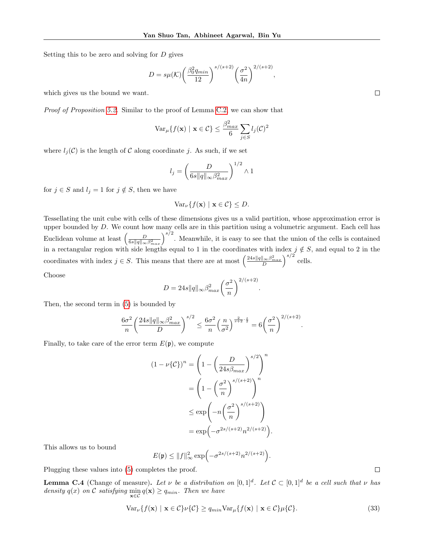Setting this to be zero and solving for D gives

$$
D = s\mu(\mathcal{K}) \left(\frac{\beta_0^2 q_{min}}{12}\right)^{s/(s+2)} \left(\frac{\sigma^2}{4n}\right)^{2/(s+2)},
$$

which gives us the bound we want.

Proof of Proposition [5.2.](#page-5-6) Similar to the proof of Lemma [C.2,](#page-17-4) we can show that

$$
\text{Var}_{\mu}\{f(\mathbf{x}) \mid \mathbf{x} \in \mathcal{C}\} \le \frac{\beta_{max}^2}{6} \sum_{j \in S} l_j(\mathcal{C})^2
$$

where  $l_i(\mathcal{C})$  is the length of  $\mathcal C$  along coordinate j. As such, if we set

$$
l_j = \left(\frac{D}{6s\|q\|_{\infty}\beta_{max}^2}\right)^{1/2} \wedge 1
$$

for  $j \in S$  and  $l_j = 1$  for  $j \notin S$ , then we have

$$
\text{Var}_{\nu}\{f(\mathbf{x}) \mid \mathbf{x} \in \mathcal{C}\} \leq D.
$$

Tessellating the unit cube with cells of these dimensions gives us a valid partition, whose approximation error is upper bounded by D. We count how many cells are in this partition using a volumetric argument. Each cell has Euclidean volume at least  $\left(\frac{D}{6s\|q\|_{\infty}\beta_{max}^2}\right)^{s/2}$ . Meanwhile, it is easy to see that the union of the cells is contained in a rectangular region with side lengths equal to 1 in the coordinates with index  $j \notin S$ , and equal to 2 in the coordinates with index  $j \in S$ . This means that there are at most  $\left(\frac{24s||q||_{\infty}\beta_{max}^2}{D}\right)^{s/2}$  cells.

Choose

$$
D = 24s||q||_{\infty} \beta_{max}^2 \left(\frac{\sigma^2}{n}\right)^{2/(s+2)}
$$

.

Then, the second term in [\(5\)](#page-3-2) is bounded by

$$
\frac{6\sigma^2}{n}\left(\frac{24s\|q\|\infty\beta_{max}^2}{D}\right)^{s/2} \le \frac{6\sigma^2}{n}\left(\frac{n}{\sigma^2}\right)^{\frac{2}{s+2}\cdot\frac{s}{2}} = 6\left(\frac{\sigma^2}{n}\right)^{2/(s+2)}.
$$

Finally, to take care of the error term  $E(\mathfrak{p})$ , we compute

$$
(1 - \nu\{\mathcal{C}\})^n = \left(1 - \left(\frac{D}{24s\beta_{max}}\right)^{s/2}\right)^n
$$

$$
= \left(1 - \left(\frac{\sigma^2}{n}\right)^{s/(s+2)}\right)^n
$$

$$
\leq \exp\left(-n\left(\frac{\sigma^2}{n}\right)^{s/(s+2)}\right)
$$

$$
= \exp\left(-\sigma^{2s/(s+2)}n^{2/(s+2)}\right).
$$

This allows us to bound

$$
E(\mathfrak{p}) \le ||f||_{\infty}^2 \exp\left(-\sigma^{2s/(s+2)} n^{2/(s+2)}\right)
$$

Plugging these values into [\(5\)](#page-3-2) completes the proof.

<span id="page-20-0"></span>**Lemma C.4** (Change of measure). Let v be a distribution on  $[0,1]^d$ . Let  $\mathcal{C} \subset [0,1]^d$  be a cell such that v has density  $q(x)$  on C satisfying  $\min_{\mathbf{x} \in C} q(\mathbf{x}) \geq q_{min}$ . Then we have

$$
\text{Var}_{\nu}\{f(\mathbf{x}) \mid \mathbf{x} \in \mathcal{C}\} \nu\{\mathcal{C}\} \ge q_{min} \text{Var}_{\mu}\{f(\mathbf{x}) \mid \mathbf{x} \in \mathcal{C}\} \mu\{\mathcal{C}\}.
$$
\n(33)

.

 $\Box$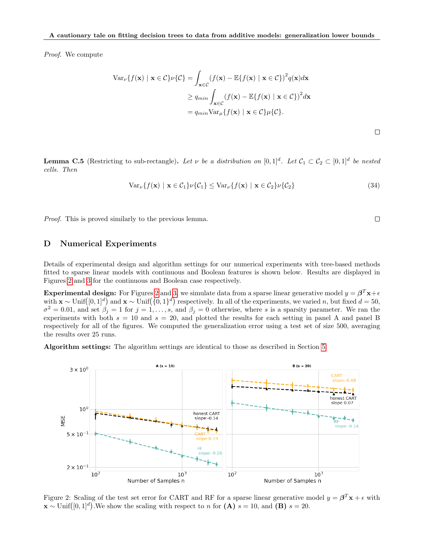Proof. We compute

$$
\operatorname{Var}_{\nu}\{f(\mathbf{x}) \mid \mathbf{x} \in C\} \nu\{C\} = \int_{\mathbf{x} \in C} (f(\mathbf{x}) - \mathbb{E}\{f(\mathbf{x}) \mid \mathbf{x} \in C\})^2 q(\mathbf{x}) d\mathbf{x}
$$
  
\n
$$
\geq q_{min} \int_{\mathbf{x} \in C} (f(\mathbf{x}) - \mathbb{E}\{f(\mathbf{x}) \mid \mathbf{x} \in C\})^2 d\mathbf{x}
$$
  
\n
$$
= q_{min} \operatorname{Var}_{\mu}\{f(\mathbf{x}) \mid \mathbf{x} \in C\} \mu\{C\}.
$$

<span id="page-21-2"></span>**Lemma C.5** (Restricting to sub-rectangle). Let v be a distribution on  $[0,1]^d$ . Let  $\mathcal{C}_1 \subset \mathcal{C}_2 \subset [0,1]^d$  be nested cells. Then

$$
\text{Var}_{\nu}\lbrace f(\mathbf{x}) \mid \mathbf{x} \in C_1 \rbrace \nu \lbrace C_1 \rbrace \leq \text{Var}_{\nu} \lbrace f(\mathbf{x}) \mid \mathbf{x} \in C_2 \rbrace \nu \lbrace C_2 \rbrace \tag{34}
$$

Proof. This is proved similarly to the previous lemma.

### <span id="page-21-0"></span>D Numerical Experiments

Details of experimental design and algorithm settings for our numerical experiments with tree-based methods fitted to sparse linear models with continuous and Boolean features is shown below. Results are displayed in Figures [2](#page-21-1) and [3](#page-22-0) for the continuous and Boolean case respectively.

**Experimental design:** For Figures [2](#page-21-1) and [3,](#page-22-0) we simulate data from a sparse linear generative model  $y = \beta^T \mathbf{x} + \epsilon$ with  $\mathbf{x} \sim \text{Unif}([0,1]^d)$  and  $\mathbf{x} \sim \text{Unif}(\{0,1\}^d)$  respectively. In all of the experiments, we varied n, but fixed  $d = 50$ ,  $\sigma^2 = 0.01$ , and set  $\beta_j = 1$  for  $j = 1, \ldots, s$ , and  $\beta_j = 0$  otherwise, where s is a sparsity parameter. We ran the experiments with both  $s = 10$  and  $s = 20$ , and plotted the results for each setting in panel A and panel B respectively for all of the figures. We computed the generalization error using a test set of size 500, averaging the results over 25 runs.

Algorithm settings: The algorithm settings are identical to those as described in Section [5.](#page-5-7)



<span id="page-21-1"></span>Figure 2: Scaling of the test set error for CART and RF for a sparse linear generative model  $y = \beta^T \mathbf{x} + \epsilon$  with  $\mathbf{x} \sim \text{Unif}([0,1]^d)$ . We show the scaling with respect to n for  $(\mathbf{A}) s = 10$ , and  $(\mathbf{B}) s = 20$ .